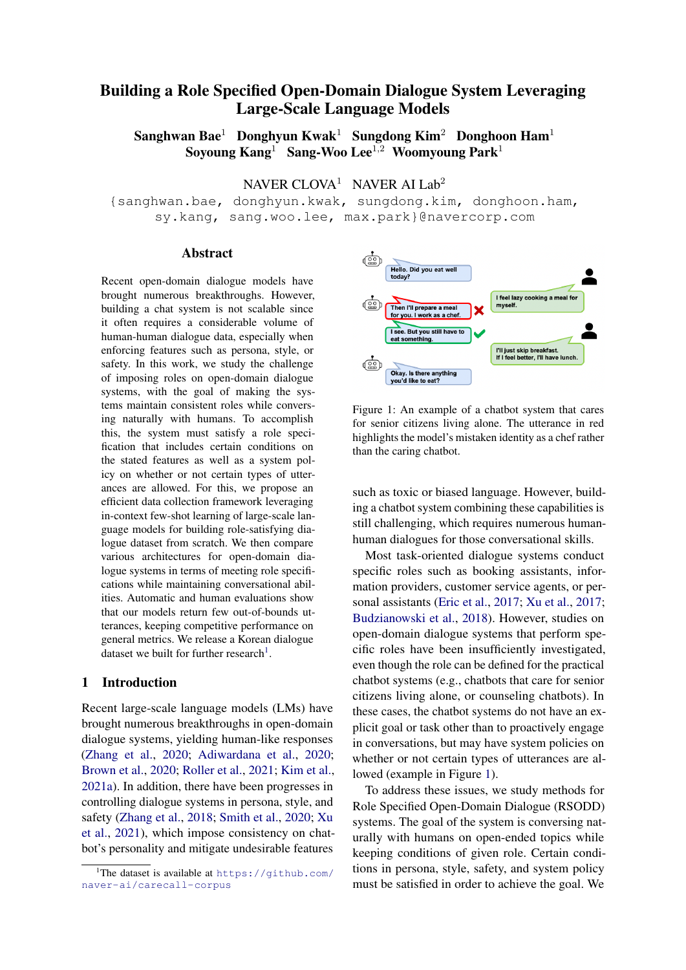# Building a Role Specified Open-Domain Dialogue System Leveraging Large-Scale Language Models

Sanghwan Bae<sup>1</sup> Donghyun Kwak<sup>1</sup> Sungdong Kim<sup>2</sup> Donghoon Ham<sup>1</sup> Soyoung  $\text{Kang}^1$  Sang-Woo Lee<sup>1,2</sup> Woomyoung Park<sup>1</sup>

NAVER CLOVA<sup>1</sup> NAVER ALLab<sup>2</sup>

{sanghwan.bae, donghyun.kwak, sungdong.kim, donghoon.ham, sy.kang, sang.woo.lee, max.park}@navercorp.com

#### Abstract

Recent open-domain dialogue models have brought numerous breakthroughs. However, building a chat system is not scalable since it often requires a considerable volume of human-human dialogue data, especially when enforcing features such as persona, style, or safety. In this work, we study the challenge of imposing roles on open-domain dialogue systems, with the goal of making the systems maintain consistent roles while conversing naturally with humans. To accomplish this, the system must satisfy a role specification that includes certain conditions on the stated features as well as a system policy on whether or not certain types of utterances are allowed. For this, we propose an efficient data collection framework leveraging in-context few-shot learning of large-scale language models for building role-satisfying dialogue dataset from scratch. We then compare various architectures for open-domain dialogue systems in terms of meeting role specifications while maintaining conversational abilities. Automatic and human evaluations show that our models return few out-of-bounds utterances, keeping competitive performance on general metrics. We release a Korean dialogue dataset we built for further research<sup>[1](#page-0-0)</sup>.

#### 1 Introduction

Recent large-scale language models (LMs) have brought numerous breakthroughs in open-domain dialogue systems, yielding human-like responses [\(Zhang et al.,](#page-12-0) [2020;](#page-12-0) [Adiwardana et al.,](#page-9-0) [2020;](#page-9-0) [Brown et al.,](#page-9-1) [2020;](#page-9-1) [Roller et al.,](#page-11-0) [2021;](#page-11-0) [Kim et al.,](#page-10-0) [2021a\)](#page-10-0). In addition, there have been progresses in controlling dialogue systems in persona, style, and safety [\(Zhang et al.,](#page-12-1) [2018;](#page-12-1) [Smith et al.,](#page-11-1) [2020;](#page-11-1) [Xu](#page-12-2) [et al.,](#page-12-2) [2021\)](#page-12-2), which impose consistency on chatbot's personality and mitigate undesirable features

<span id="page-0-1"></span>

Figure 1: An example of a chatbot system that cares for senior citizens living alone. The utterance in red highlights the model's mistaken identity as a chef rather than the caring chatbot.

such as toxic or biased language. However, building a chatbot system combining these capabilities is still challenging, which requires numerous humanhuman dialogues for those conversational skills.

Most task-oriented dialogue systems conduct specific roles such as booking assistants, information providers, customer service agents, or personal assistants [\(Eric et al.,](#page-10-1) [2017;](#page-10-1) [Xu et al.,](#page-12-3) [2017;](#page-12-3) [Budzianowski et al.,](#page-9-2) [2018\)](#page-9-2). However, studies on open-domain dialogue systems that perform specific roles have been insufficiently investigated, even though the role can be defined for the practical chatbot systems (e.g., chatbots that care for senior citizens living alone, or counseling chatbots). In these cases, the chatbot systems do not have an explicit goal or task other than to proactively engage in conversations, but may have system policies on whether or not certain types of utterances are allowed (example in Figure [1\)](#page-0-1).

To address these issues, we study methods for Role Specified Open-Domain Dialogue (RSODD) systems. The goal of the system is conversing naturally with humans on open-ended topics while keeping conditions of given role. Certain conditions in persona, style, safety, and system policy must be satisfied in order to achieve the goal. We

<span id="page-0-0"></span><sup>&</sup>lt;sup>1</sup>The dataset is available at  $https://github.com/$ [naver-ai/carecall-corpus](https://github.com/naver-ai/carecall-corpus)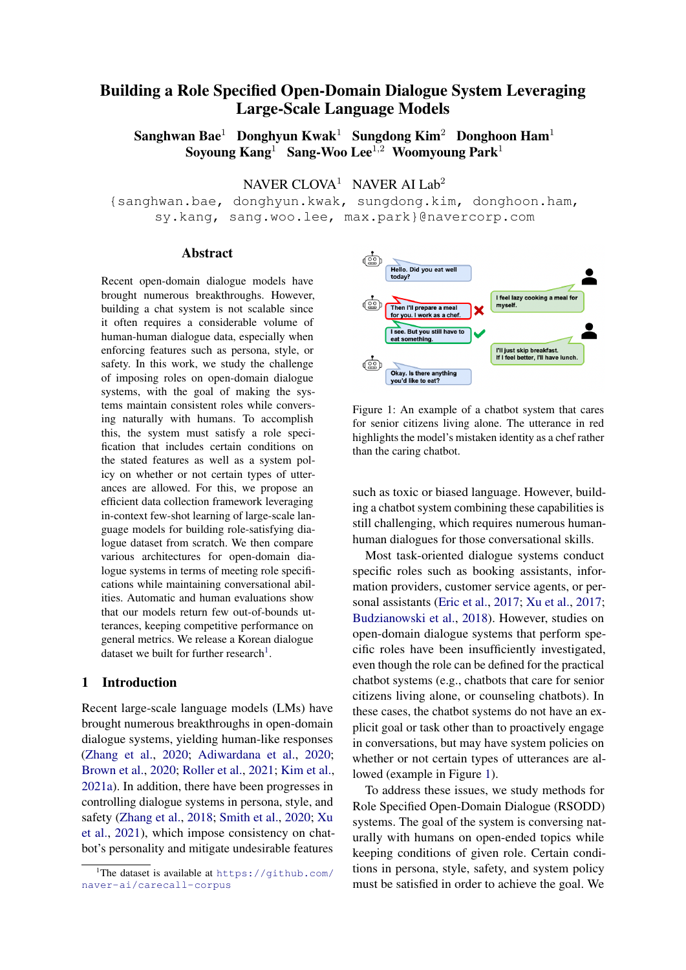consider a general and scalable framework to treat them, instead of using individual approaches to control each.

In particular, we present a Human-AI collaborative data construction method to build a scalable supervisory dataset from scratch for role-satisfying open-domain dialogues (Figure [2\)](#page-1-0). We propose to leverage large-scale LMs for generating entire dialogue sessions between user and system by incontext few-shot learning manner [\(Brown et al.,](#page-9-1) [2020;](#page-9-1) [Kim et al.,](#page-10-0) [2021a\)](#page-10-0), followed by humaninteractive correction processes. Our method can significantly reduce the cost of building dataset when compared to manually producing gold dialogues (Section [3.2\)](#page-3-0). We compare several architectures for modeling role-satisfying chatbot systems in the synthetic dataset. In extensive experiments and ablation studies, we show that the proposed models considerably reduce undesirable utterances that violate the given role specification compared to the in-context learning baseline, while achieving competitive SSA [\(Adiwardana et al.,](#page-9-0) [2020\)](#page-9-0) scores for their responses. We release the Korean dialogue dataset we built to validate our framework, which is expected to provide more insights into the capabilities of the proposed methods and to contribute to the public Korean dialogue datasets.

The contribution of our work is summarized as follows.

- 1. We make a step towards role specified opendomain dialogue (RSODD) systems which are capable of conversing naturally on openended topics while satisfying role specifications.
- 2. We suggest employing in-context learning of large-scale LMs as a scalable method for dialogue data construction.
- 3. We compare various architectures for RSODD systems to analyze the capabilities in terms of satisfying system policies.
- 4. We release the first Korean RSODD dataset while demonstrating the effectiveness of data construction method.

## 2 Related Work

Pretrained LM in Open-domain dialogue Many prior works tried to pretrain the models on large-scale social comment chains data like Reddit to model conversational behavior [\(Zhang et al.,](#page-12-0)

<span id="page-1-0"></span>

Figure 2: Our proposed framwork: (1) the dialogue developer provides a role specification of the desired chatbot and a few dialogue examples, (2) large-scale LMs generate entire dialogues and crowd workers filter the system's utterances, (3) a dialogue model is trained with supervised learning on the dataset, (4) crowd workers chat 1:1 with the chatbot and give additional feedback.

[2020;](#page-12-0) [Adiwardana et al.,](#page-9-0) [2020\)](#page-9-0), followed by finetuning on the diverse target dialogue dataset to improve engagingness and humanness [\(Roller et al.,](#page-11-0) [2021\)](#page-11-0). To avoid undesired behaviors of the models including toxicity and bias from the human-human conversation, they merely exclude some parts of training data using automatic filtering by predefined criteria.

Synthetic Dialogue Generation To reduce cost of dialogue collection, there have been many approaches to generate synthetic dialogues [\(Schatz](#page-11-2)[mann et al.,](#page-11-2) [2007;](#page-11-2) [Shah et al.,](#page-11-3) [2018;](#page-11-3) [Campagna](#page-9-3) [et al.,](#page-9-3) [2020\)](#page-9-3). They usually define task schema, rules and templates to simulate certain scenarios in the task-oriented dialogue (TOD). [Kim et al.](#page-10-2) [\(2021b\)](#page-10-2) proposed neural simulation approach using pre-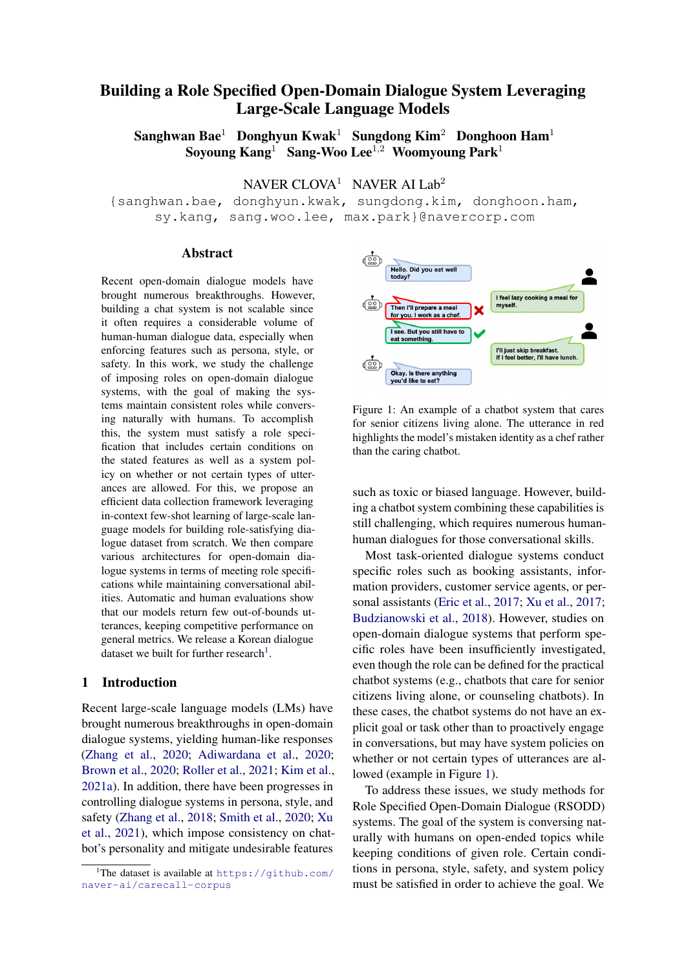trained LMs for a fast domain adaptation in the TOD. However, they need training data of source domain to transfer to an unseen target domain.

[Xu et al.](#page-12-2) [\(2021\)](#page-12-2) proposed Bot-Adversarial Dialogue method to make existing models safer in terms of offensive or toxic behavior. [Sun et al.](#page-11-4) [\(2021\)](#page-11-4) extends existing task-oriented dialogue dataset to open-domain chit-chat using the pretrained LMs. Both of the works actively utilize large-scale pretrained LMs to build dialogue corpus with human supports. We also introduce human-AI collaborative dialogue collection method, while especially utilizing few-shot in-context learning ability of large-scale LM [\(Brown et al.,](#page-9-1) [2020;](#page-9-1) [Kim](#page-10-0) [et al.,](#page-10-0) [2021a\)](#page-10-0). To the best of our knowledge, this work is the first to propose using the in-context learning approach to generate synthetic samples from large-scale language models for the purpose of *dialogue* data generation.

On the Role in Dialogue In TOD, the system side plays functional roles utilizing explicit knowledge base of specific domain [\(Williams et al.,](#page-12-4) [2013;](#page-12-4) [Henderson et al.,](#page-10-3) [2014a](#page-10-3)[,b;](#page-10-4) [Eric et al.,](#page-10-1) [2017;](#page-10-1) [Xu](#page-12-3) [et al.,](#page-12-3) [2017;](#page-12-3) [Budzianowski et al.,](#page-9-2) [2018\)](#page-9-2). For example, agent in [Budzianowski et al.](#page-9-2) [\(2018\)](#page-9-2) played booking assistant or information provider in various domain such as restaurant and hotel. On the other hand, [Zhang et al.](#page-12-1) [\(2018\)](#page-12-1) proposed assigning explicit persona to each dialogue agent, promoting the agent to make more specific and consistent responses in open-domain dialogue setting. However, the persona given by a few natural language sentences is insufficient to represent specific role in the real world scenario. [Sun et al.](#page-11-4) [\(2021\)](#page-11-4) also proposed guidelines of appropriate and inappropriate behaviors as a role of virtual assistant. We note that a recent concurrent work [\(Shuster et al.,](#page-11-5) [2021\)](#page-11-5) studied conditioning dialogue models with similar motivations. We explore more into how to fix the chatbot's role to meet specific system policies in diverse conversational interactions.

Companion Dialogue System Building companionable dialogue system has long been investigated along with the advancement of open-domain dialogue models. [Webb et al.](#page-12-5) [\(2010\)](#page-12-5) defines companions to be persistent, collaborative and conversational partners, and proposes evaluation strategies: empathy, positivity, and adaptive. [Kopp et al.](#page-11-6) [\(2018\)](#page-11-6) introduced conversational assistants for elderly users which carry out socially cooperative di-

<span id="page-2-0"></span>

Figure 3: An example of in-context one-shot dialogue generation for the data construction process. (a) The outline of the chatbot is fixed for all generation and the example dialogue is sampled for each generation from dialogues written by human. (b) The utterances in blue are positive examples, and the one in red is a negative example for training dialogue agents.

alogue. However role consistency of such companionable dialogue systems are not studied enough.

#### <span id="page-2-2"></span>3 Data Construction

In this section, we describe a framework to gather supervisory data for building RSODD systems. The input to the framework is a role specification described by the chatbot developer (Table [1](#page-3-1) for example), which defines the conditions in the dialogue interactions for the system. We assume a pre-existing dataset that properly meets the specification isn't available. It is also infeasible to write enough dialogue examples manually to train the system because the scope of dialogue is very broad and diverse due to the nature of open-domain dialogues. To remedy this, we focus on composing the dataset with a few samples of human-written dialogues using in-context few-shot learning of largescale LMs [\(Brown et al.,](#page-9-1) [2020;](#page-9-1) [Liu et al.,](#page-11-7) [2021\)](#page-11-7).

#### <span id="page-2-1"></span>3.1 One-shot Dialogue Generation

As reported in [Kim et al.](#page-10-0) [\(2021a\)](#page-10-0), large-scale LMs can generate dialogues with a specific personality, given a prompt consisting of a brief description of the chatbot's properties and few dialogue examples. We use this method to build the entire dataset. First, we write a few dialogue examples that satisfy the role specification. And we attach each of them at the end of the system description (Outline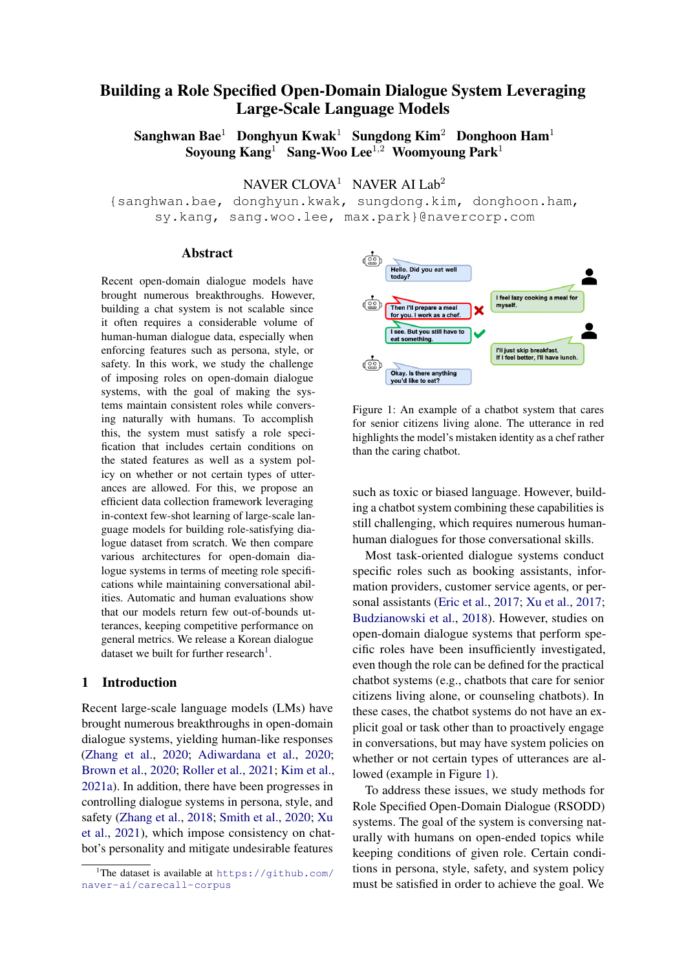| слинне                      |                                                                        |                      |                                                                                                                                            |  |  |
|-----------------------------|------------------------------------------------------------------------|----------------------|--------------------------------------------------------------------------------------------------------------------------------------------|--|--|
|                             |                                                                        |                      | The chatbot is an artificial intelligence agent that regularly calls and converses with senior citizens.                                   |  |  |
|                             | Initiate the conversation and react friendly to the user's utterances. |                      |                                                                                                                                            |  |  |
|                             | Talk about everyday topics for 10-15 turns and end the call.           |                      |                                                                                                                                            |  |  |
| <b>Details</b>              |                                                                        |                      |                                                                                                                                            |  |  |
| <b>Categories</b>           |                                                                        | <b>Specification</b> |                                                                                                                                            |  |  |
| <b>Sensibleness</b>         |                                                                        | Description          | Speech that does not properly understand the context is restricted.                                                                        |  |  |
| Style                       |                                                                        | Description          | Speech should be polite* and respectful.                                                                                                   |  |  |
| Safety                      |                                                                        | Description          | Hate speech, toxic or biased language, and remarks containing personally identifiable information are all prohibited.                      |  |  |
|                             |                                                                        |                      | Keep the identity of an 'AI chatbot that calls to the user.'                                                                               |  |  |
| Persona                     |                                                                        | Description          | Because it assumes a phone call, utterances that appear to be in the same room as the user are limited.                                    |  |  |
|                             |                                                                        |                      | Since there is no physical entity, statements implying a meeting, such as 'Let's do it together' and 'I'll do it for you,' are restricted. |  |  |
|                             |                                                                        |                      | "Grandma! I'm here!" (X)                                                                                                                   |  |  |
|                             |                                                                        | Examples             | "Would you like to walk with me?" (X)                                                                                                      |  |  |
|                             |                                                                        |                      | "I'll invite you to my house later" $(X)$                                                                                                  |  |  |
|                             |                                                                        |                      | Because it is not given time-related information, the chatbot is unable to offer a timely utterance.                                       |  |  |
|                             | Temporality                                                            | Description          | Chatbots are not allowed to speak first about the current weather, date, or news.                                                          |  |  |
| <b>System Policy</b>        |                                                                        |                      | However, if the user brings up the subject first, it is feasible to agree.                                                                 |  |  |
|                             |                                                                        |                      | "Because the weather is turning cold these days, you should dress warmly." (X)                                                             |  |  |
|                             |                                                                        | Examples             | "Happy Holidays!" (X)                                                                                                                      |  |  |
|                             |                                                                        |                      | "Did you watch the baseball championship game today?" (X)                                                                                  |  |  |
| <b>Unsupported Features</b> |                                                                        | Description          | It does not provide any other functions other than making phone calls and chatting.                                                        |  |  |
|                             |                                                                        |                      | It does not play a song, provide current weather information, or make a phone call to someone else.                                        |  |  |
|                             |                                                                        |                      | "I'll play a song." $(X)$                                                                                                                  |  |  |
|                             |                                                                        | Examples             | "Today's weather is sunny, with a low of 12 degrees and a high of 21 degrees Celcius." (X)                                                 |  |  |
|                             |                                                                        |                      | "Then I'll call your daughter." (X)                                                                                                        |  |  |
|                             | * There are polite words and honorifics in the Korean language.        |                      |                                                                                                                                            |  |  |

Table 1: Example role specification used. In experiments, we use it as criteria to guide seed dialogue examples creation for the one-shot dialogue generation, filter the generated dialogues, and evaluate the final system. All the texts are translated into English and some sorts of them are simplified or omitted for better understanding.

in Table [1\)](#page-3-1) to compose input prompts for one-shot in-context learning. Figure [3](#page-2-0) (a) shows an example input. Then, the LM generates whole dialogue sessions. That is, the LM acts as both a system and a user (Figure [3](#page-2-0) (b)). Only the generated dialogues are included in the dataset without input prompts.

#### <span id="page-3-0"></span>3.2 Human Filtering

<span id="page-3-1"></span> $\overline{a}$  and

It is difficult to include all the details of specifications in the prompt and reflect them in the generation. Therefore, we employ human annotation on the generated data. We give the annotator each conversation session and ask them to label the point where the first out-of-bounds<sup>[2](#page-3-2)</sup> occurred. Figure [3](#page-2-0) (b) shows an example of a verified dialogue (more examples are provided in Appendix [H\)](#page-15-0). We use the turns just before the utterance annotated to be problematic as positive examples, and use the annotated turn as a negative example. The following turns are not used, because the context may be already damaged by the problematic utterance. Annotation time per dialogue session is about 88s, which is 13.3 times faster than human writing time per session (about 1170s). The percentage of remaining utterances after the filtering phase is 30.4% (See Table [2\)](#page-5-0).

#### <span id="page-3-3"></span>3.3 Collecting Human-Bot Dialogues

Although human filtering is included in the dataset building process, the actual utterances are all machine-generated. Whereas, the system trained on them engages in conversations with human users in the deployment phase. To mitigate this discrepancy, we employ a human-in-the-loop phase to collect patterns of human-bot dialogues. Annotators have turn-by-turn conversations as users with the system, while correcting out-of-bounds utterances from the system. We incorporated LM's assistance into this process to help speed the task; if the system's response is not appropriate, an annotator presses the 'Fix' button (Figure [6](#page-16-0) in Appendix showing the user interface) to call the large-scale LM to generate an alternative utterance. The worker continues the conversation if the alternate utterance is appropriate, and if it is still not corrected, presses the 'Fix' button repeatedly. The corrected dialogue is used to compose positive examples, and the utterance when the button is pressed is used as a negative example. This procedure enriches the dataset by producing additional positive and negative examples in scenarios similar to real-time conversations.

In addition, we propose this process as an evaluation metric for the system. Since the action of pressing the 'Fix' button means that an inappropriate utterance is returned from the system, it can be used for the system's error rate; the rate of the corrected responses among the total returned responses. This metric is intuitive and does not incur

<span id="page-3-2"></span> $2$ An utterance that does not meet the conditions of the given role specification (Table [1](#page-3-1) for example).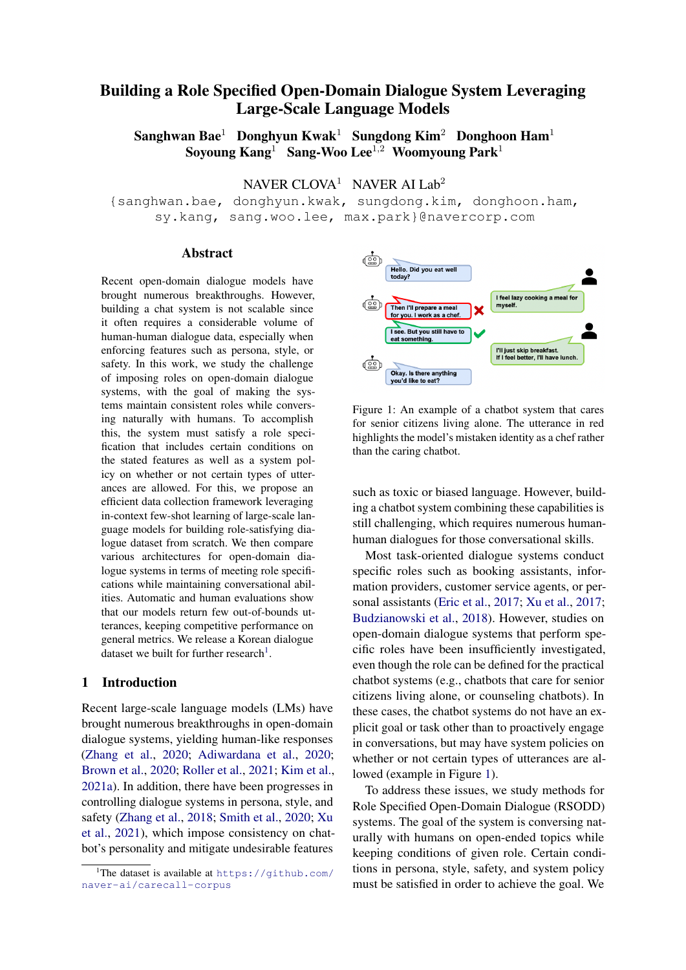additional costs because it is performed concurrently with the data collection process described above.

## 4 Models

#### 4.1 Notation

Response prediction task in open-domain dialogues is predicting an utterance  $y = \{y_1, y_2, \dots, y_{|y|}\}\$ given a dialogue history  $x = \{s_1, u_1, s_2, u_2, \dots, s_k, u_k\}$ , where  $s_i$ and  $u_i$  are system utterance and user utterance respectively.

#### 4.2 Out-of-Bounds Detection

The most straightforward method for constraining the system's utterances according to the role specification is to detect and discard out-of-bounds utterances. We consider a BERT-based [\(Devlin et al.,](#page-10-5) [2019\)](#page-10-5) binary classifier fine-tuned to classify positive/negative examples in datasets. Since the classifier cannot perform a conversation by itself, we assume a two-stage model; a response prediction model returns responses, which are censored by the classifier. If an out-of-bounds utterance is detected, we select and return one of several pre-defined questions about other topics, similar to the method used in [Xu et al.](#page-12-2) [\(2021\)](#page-12-2). Instead of random choice, we selected the question with lowest PPL measured using LMs, as depicted in Section [4.3.](#page-4-0)

#### <span id="page-4-0"></span>4.3 Response Selection

Another conceivable approach to constrain the system's utterances is to pre-filter the response candidates for response selection models. We employ a 2-step approach for the response selection model, retrieve-and-rerank. The retriever of poly-encoder architecture [\(Humeau et al.,](#page-10-6) [2020\)](#page-10-6) rapidly finds the top-k plausible responses from the response candidates, which are then carefully reranked by the reranker of cross-encoder architecture. Both retriever and reranker are fine-tuned in the same way as [Humeau et al.](#page-10-6) [\(2020\)](#page-10-6) depicts.

Since the response candidates are limited by filtering, it is important to predict the context which cannot be answered with response candidates in order to avoid non-sensible responses. One of the effective methods to predict unanswerable contexts is to utilize the uncertainty of the model [\(Feng](#page-10-7) [et al.,](#page-10-7) [2020;](#page-10-7) [Penha and Hauff,](#page-11-8) [2021\)](#page-11-8). [Penha and](#page-11-8) [Hauff](#page-11-8) [\(2021\)](#page-11-8) proposed a risk-aware score using MC Dropout [\(Gal and Ghahramani,](#page-10-8) [2016\)](#page-10-8) and

<span id="page-4-1"></span>

Figure 4: Retrieve-fail-Generate pipeline.

we employ a similar approach using thresholding; we score the retrieved responses using mean and variance of the predictive distribution from MC Dropout:

$$
S_{\mathcal{D}}(x,\hat{y}) = E[R_{\hat{y}}] - var[R_{\hat{y}}],
$$

where  $\hat{y}$  is a candidate response that is retrieved,  $R_{\hat{y}} = \{f(x, \hat{y}^1), f(x, \hat{y}^2), \cdots f(x, \hat{y}^m)\}\$ is a predictive distribution obtained by employing dropout [\(Srivastava et al.,](#page-11-9) [2014\)](#page-11-9) at test time and conducting  $m$  forward passes, and  $f$  is a score function of reranker. If all the scores of retrieved responses are lower than a certain threshold, it is predicted as unanswerable context.

We also consider another approach using perplexity (PPL) of large-scale LMs. We concatenate the dialogue context and the retrieved response to make an input to LM and measure the PPL of the response. Thresholding is employed for final decision and the threshold is determined on the validation set (See Appendix [C\)](#page-14-0).

#### 4.4 Response Generation

Fine-tuning LMs on target data is known to be effective in learning desirable traits of focused tasks [\(Roller et al.,](#page-11-0) [2021;](#page-11-0) [Gehman et al.,](#page-10-9) [2020\)](#page-10-9). Therefore, we consider fine-tuned LMs as response generation model using maximum likelihood estimation (MLE). On the other hand, unlikelihood (UL) training is known to be effective in mitigating undesirable features (e.g., token repetition or logical inconsistency) of generative models [\(Li et al.,](#page-11-10) [2020;](#page-11-10) [Welleck et al.,](#page-12-6) [2020\)](#page-12-6). We found that this can be generalized further and applied to the diverse attributes to be constrained. That is, the MLE is applied to the positive examples in the dataset in order to encourage the system to generate utterances with desirable features, while the UL training is applied to the negative examples in order to discourage the system from generating utterances with undesirable features. Both types of training are performed concurrently.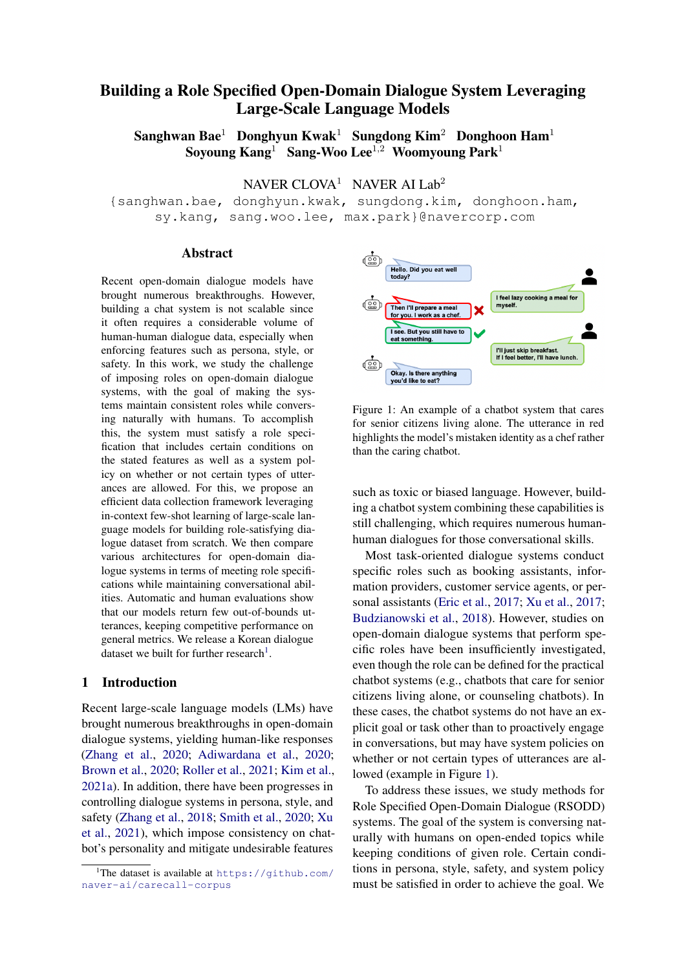Formally, we fine-tune LMs as generative models using maximum likelihood estimation (MLE), which minimizes:

$$
\mathcal{L}_{MLE}^{n}(p_{\theta}, x^{n}, y^{n}) = -\sum_{t} \log p_{\theta}(y_{t}^{n} | x^{n}, y_{
$$

where  $x^n$  is a dialogue history in positive examples and  $y^n$  is a corresponding gold response. Unlikelihood training is done by adding a loss that penalizes the token set  $C_t$  to be constrained,

$$
\mathcal{L}_{\text{UL}}^n(p_\theta, C_{1:T}, x, y) = -\sum_t \sum_{y_c \in C_t} \log(1 - p_\theta(y_c | x, y_{< t})),
$$

where  $C_t \subseteq V$  is a subset of the vocabulary. We employ this to the negative examples in dataset  $\{(x^-, y^-)\}\$ . For this,  $C_t$  is defined as  $\{y_t^-\}$ , which results in the following:

$$
\mathcal{L}_{\text{UL}}^-(p_\theta, x^-, y^-) = -\sum_t \log (1 - p_\theta(y_t^- | x, y_{
$$

The final loss function consists of mixing MLE loss and UL loss,

$$
\mathcal{L} = \mathcal{L}_{MLE}^{+} + \alpha \mathcal{L}_{UL}^{-},\tag{1}
$$

where  $\alpha \in \mathbb{R}$  is the mixing hyper-parameter.

## 4.5 Retrieve-fail-Generate

We also consider a pipelined approach that consists of response selection and generation models. We first tried a Retrieve-and-Refine architecture [\(Roller](#page-11-0) [et al.,](#page-11-0) [2021;](#page-11-0) [Weston et al.,](#page-12-7) [2018\)](#page-12-7), but it failed in  $\alpha$ -blending<sup>[3](#page-5-1)</sup>. In addition, according to [Roller et al.](#page-11-0) [\(2021\)](#page-11-0), the Retrieve-and-Refine strategy delivers marginal or no improvements over the generator. Therefore, we build another pipeline, refered to as a Retrieve-fail-Generate model (Figure [4\)](#page-4-1). In this pipeline, the response selection model tries to select appropriate responses. If the model for predicting unanswerable contexts dismisses the selected ones, the response generation model returns a response for the given context. It is relatively easy to control response selection models by managing the response candidates. Hence, the response selection models are responsible for majority of the responses, and the generation model is only used when the response selection fails.

<span id="page-5-0"></span>

| <b>Dialogue Type</b>  | Example | Generated | Filtered | Feedback |
|-----------------------|---------|-----------|----------|----------|
| # Dialogues           | 250     | 25,000    | 17.617   | 1,623    |
| $#$ Turns             | 3,893   | 510.028   | 154.903  | 29.365   |
| Avg. turns / dialogue | 15.57   | 20.40     | 8.79     | 18.09    |
| # Pos. examples       | -       | -         | 47,091   | 10,829   |
| # Neg. examples       |         |           | 18,583   | 3,529    |
| # Unique sys-turns    | 1,805   | 170,527   | 36.227   | 9,405    |
| # Words               | 35.253  | 4.292.613 | 705.253  | 178.357  |
| Avg. words / turn     | 9.06    | 8.42      | 4.55     | 6.07     |
| # Unique words        | 11.341  | 187.018   | 48.910   | 32,477   |
| # Unique bigrams      | 23,507  | 893,041   | 176.834  | 86,335   |
| Distinct-1            | 0.3215  | 0.0436    | 0.0694   | 0.1821   |
| Distinct-2            | 0.7907  | 0.2538    | 0.3067   | 0.5795   |

Table 2: Statistics of dataset collected in Section [5.1.](#page-5-2) Example is a human-written dialogue set for in-context learning. Generated is a generated set by LMs (Section [3.1\)](#page-2-1). Filtered is a set after human filtering phase (Section [3.2\)](#page-3-0). Feedback is human-bot dialogues with corrections (Section [3.3\)](#page-3-3). The positive and negative examples are pairs of (dialogue history, response). Distinct-1/2 [\(Li et al.,](#page-11-11) [2016\)](#page-11-11) is the number of distinct uni- or bi-grams divided by total number of words.

## 5 Experiments

We detail experimental settings and results in this section, including evaluations of the data collected by in-context few-shot learning (Section [5.2\)](#page-5-3), comparisons of model variants (Section [5.3\)](#page-6-0), and evaluations on system's response qualities (Section [5.4\)](#page-8-0).

#### <span id="page-5-2"></span>5.1 Dataset

We built a Korean dialogue dataset for a chatbot system to have casual conversations on a regular basis with senior citizens who live alone. This dataset was collected using the framework described in Section [3,](#page-2-2) assuming a role specification in Table [1.](#page-3-1) 250 dialogue examples with 89 topics (more details are in Appendix [D\)](#page-14-1) were used for in-context 1-shot generation. We used 39B size of HyperCLOVA [\(Kim et al.,](#page-10-0) [2021a\)](#page-10-0) as generation model (sampling at temperature 0.5 using nucleus sampling [\(Holtz](#page-10-11)[man et al.,](#page-10-11) [2020\)](#page-10-11) with  $P = 0.8$ . Table [2](#page-5-0) shows the statistics of the dataset (additional analysis in Appendix [E\)](#page-14-2). We use 5% of each for validation sets.

#### <span id="page-5-3"></span>5.2 Evaluation on Generated Dialogues

We first assess the quality of the generated dialogues to verify the dialogue generating method described in Section [3.1.](#page-2-1) Using four different sizes of HyperCLOVA, we generate 100 dialogue sessions for each with the same prompt. We ask the crowd workers to rate on a scale of 1 to 5 whether the generated dialogue satisfies several conditions

<span id="page-5-1"></span><sup>&</sup>lt;sup>3</sup>In our experiments, all retrieved responses are copied or ignored depending on the  $\alpha$  value, reducing the model to a retriever or generator. This has also been highlighted in a recent concurrent study [\(Han et al.,](#page-10-10) [2021\)](#page-10-10).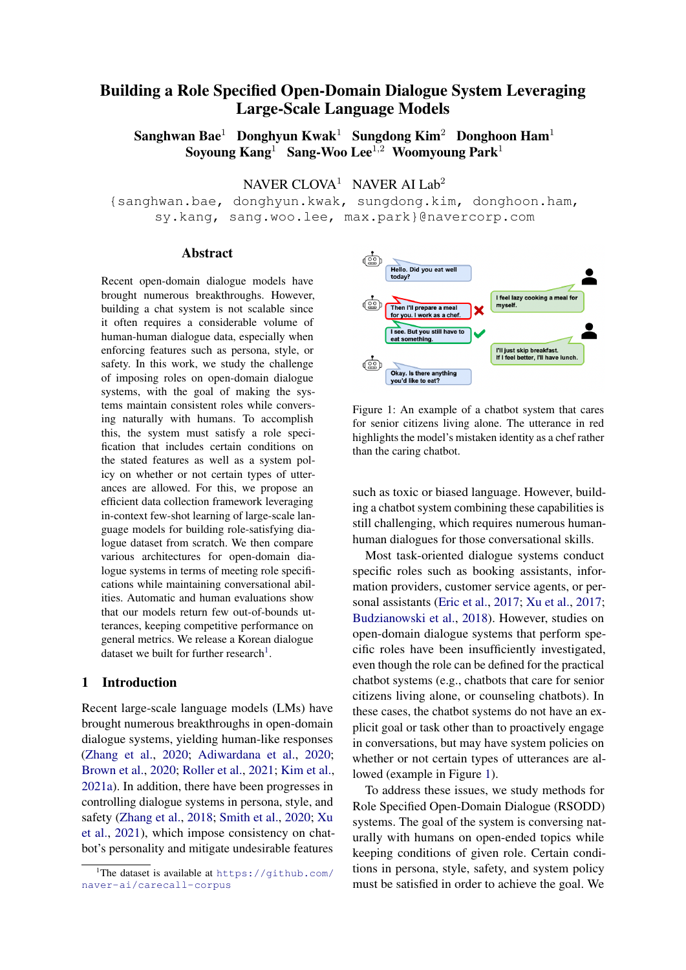<span id="page-6-1"></span>

|       |                | <b>Automatic Metrics</b> |                |            |                  |             | <b>Human Evaluations</b> |               |               |
|-------|----------------|--------------------------|----------------|------------|------------------|-------------|--------------------------|---------------|---------------|
|       |                |                          |                |            |                  | <b>User</b> |                          | <b>System</b> |               |
| Model | Distinct-1     | Distinct-2               | <b>Fluency</b> | Coherence  | <b>Situation</b> | Persona     | Persona                  | <b>Style</b>  | <b>Safety</b> |
| 1.3B  | 0.2959(0.0042) | 0.6630(0.0053)           | 4.98(0.02)     | 4.54(0.21) | 4.57(0.29)       | 4.54(0.15)  | 4.31(0.23)               | 4.91(0.05)    | 4.98(0.03)    |
| 13B   | 0.3075(0.0037) | 0.6500(0.0054)           | 4.97(0.02)     | 4.55(0.14) | 4.74(0.23)       | 4.65(0.11)  | 4.33(0.20)               | 4.93(0.04)    | 4.98(0.02)    |
| 39B   | 0.3334(0.0038) | 0.6779(0.0061)           | 4.98(0.03)     | 4.59(0.19) | 4.69(0.22)       | 4.69(0.12)  | 4.37(0.21)               | 4.88(0.05)    | 4.97(0.02)    |
| 82B   | 0.3402(0.0040) | 0.7014(0.0057)           | 4.98(0.02)     | 4.56(0.24) | 4.78(0.17)       | 4.74(0.15)  | 4.49(0.17)               | 4.96 $(0.07)$ | 4.96(0.03)    |

Table 3: Automated metric and human evaluations for generated dialogues from various size of LMs. Scores are averaged (standard deviation in brackets).

<span id="page-6-3"></span>

| Model                                                       | # of system turns | error rate | not sensible | wrong persona | policy violation | not safe | etc.   |
|-------------------------------------------------------------|-------------------|------------|--------------|---------------|------------------|----------|--------|
|                                                             |                   | (%)        | (%)          | (%)           | (%)              | (%)      | $(\%)$ |
| <b>Out-of-Bounds Detection</b>                              |                   |            |              |               |                  |          |        |
| Generator $(IC) + Classifier$                               | 1,471             | 18.10      | 9.31         | 1.61          | 2.49             | 0.07     | 4.66   |
| <b>Response Selection</b>                                   |                   |            |              |               |                  |          |        |
| Retrieve-and-Rerank                                         | 1.230             | 13.17      | 10.68        | 0.72          | 1.53             | 0.00     | 0.24   |
| Retrieve-and-Rerank w/ MC Dropout                           | 1.272             | 9.82       | 7.58         | 0.36          | 1.66             | 0.00     | 0.22   |
| Retrieve-and-Rerank w/ PPL                                  | 1,300             | 7.00       | 5.10         | 0.40          | 1.16             | 0.00     | 0.34   |
| <b>Response Generation</b>                                  |                   |            |              |               |                  |          |        |
| Generator (IC)                                              | 985               | 35.83      | 16.05        | 6.24          | 8.66             | 0.17     | 4.68   |
| Generator (MLE)                                             | 1,291             | 4.72       | 3.55         | 0.76          | 0.30             | 0.00     | 0.10   |
| Generator (UL)                                              | 1.497             | 3.82       | 3.29         | 0.23          | 0.10             | 0.00     | 0.17   |
| <b>Retrieve-fail-Generate</b>                               |                   |            |              |               |                  |          |        |
| Retrieve-and-Rerank w/ PPL + Generator (UL)                 | 1,522             | 2.56       | 2.20         | 0.17          | 0.16             | 0.00     | 0.00   |
| Retrieve-and-Rerank w/ PPL + Generator (UL) + Feedback Data | 1,599             | 2.00       | 1.88         | 0.00          | 0.10             | 0.00     | 0.00   |

Table 4: Human evaluation results. As described in Section [3.3,](#page-3-3) the crowd workers chat 1:1 with a chatbot as users and correct the inappropriate responses. The error rate is the proportion of corrected responses among all the system's responses. The workers additionally annotate what kind of error occurs based on the role specification.

expected to be controlled through in-context learning (the detailed description of the evaluation criteria is provided in Appendix [F\)](#page-14-3). The results are shown in Table [3.](#page-6-1) It shows that the larger the model size, the better to meet the conditions by in-context learning, which is also shown in previous studies [\(Brown et al.,](#page-9-1) [2020;](#page-9-1) [Kim et al.,](#page-10-0) [2021a\)](#page-10-0). In addition, Distinct-1/2 [\(Li et al.,](#page-11-11) [2016\)](#page-11-11) indicates that the text generated by large models is more diverse.

#### <span id="page-6-0"></span>5.3 Model Comparison

Out-of-Bounds Detection Table [5](#page-6-2) shows the classification accuracy and F1 score of the trained classifier. We use generator controlled by incontext learning (IC) as a response prediction model to evaluate the effect of the classifier alone. For in-context learning, we use the same prompt used to generate the dataset, but the model only generates system's utterances in its turns. The classifier significantly lowers the error rate of in-context learning (Table [4\)](#page-6-3), showing the effectiveness of the classifier. On the other hand, the error rate is relatively higher than those of the best models of response selection and generation. This is because the classifier is not perfect (about 92% in accuracy), and even when it properly detects out-of-bounds, the pre-defined questions as alternatives are occa-

<span id="page-6-2"></span>

| Training Data $(\%)$ | Mean Accuracy% (std) | Mean $F1\%$ (std) |
|----------------------|----------------------|-------------------|
| 10                   | 87.31 (0.0164)       | 88.44 (0.0163)    |
| 20                   | 89.73 (0.0061)       | 90.47 (0.0055)    |
| 100                  | 91.99 (0.0022)       | 92.55 (0.0019)    |

Table 5: Classifier results, reporting accuracy and F1 on test set. It shows performance in relation to the amount of training data used.

<span id="page-6-4"></span>

| Model     | data       | # of examples | Hits@1/20 | Hits@1/100 |
|-----------|------------|---------------|-----------|------------|
|           | Filtered   | 47.091        | 93.14     | 83.80      |
| Retriever | Unfiltered | 227.638       | 95.27     | 86.99      |
|           | Filtered   | 47.091        | 97.16     | 90.89      |
| Reranker  | Unfiltered | 227.638       | 97.55     | 91.70      |

Table 6: Hits @  $1/K$  of retriever and reranker on the validation set. Hits@ $1/K$  measures recall@1 when ranking the gold label among a set of  $K - 1$  other random candidates.

sionally incoherent with the contexts.

Response Selection We fine-tune the response selection models on positive examples of the filtered data and automatically evaluate them by measuring Hits  $@1/K$  [\(Roller et al.,](#page-11-0) [2021\)](#page-11-0) on the validation set. Results are shown in Table [6.](#page-6-4) We additionally found that training on unfiltered datasets brings improvements to the Hits  $@1/K$  performance itself. Therefore, we use the models that trained on un-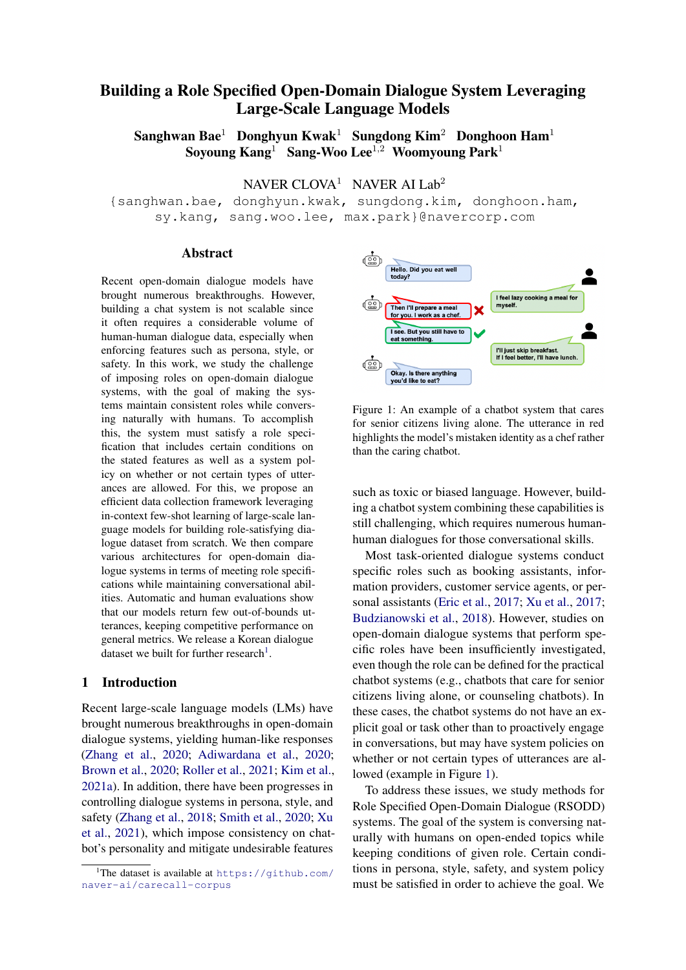<span id="page-7-2"></span>

|                                                             | <b>Response Generation</b><br><b>Response Selection</b> |      |                       |            |
|-------------------------------------------------------------|---------------------------------------------------------|------|-----------------------|------------|
|                                                             | proportion                                              |      | error rate proportion | error rate |
| Model                                                       | (%)                                                     | (%)  | $\mathcal{O}_0$       | (%)        |
| Retrieve-and-Rerank w/ PPL + Generator (UL)                 | 68.20                                                   | 2.50 | 31.80                 | 2.68       |
| Retrieve-and-Rerank w/ PPL + Generator (UL) + Feedback Data | 63.70                                                   | 2.12 | 36.30                 | 1 77       |

Table 7: Evaluation results of each component in the Retrieve-fail-Generate pipeline. It shows the proportion and error rate of returned responses from response selection and generation models.

<span id="page-7-0"></span>

| Method                |      | positive negative |
|-----------------------|------|-------------------|
| In-context Learning   | 2.65 | 2.74              |
| Likelihood Training   | 2.07 | 2.47              |
| Unlikelihood Training | 2.48 | 46.70             |

Table 8: Perplexity (PPL) of generative models on validation set of filtered data.

filtered dataset in the subsequent experiments. Response candidates are limited to system responses within positive examples (unique system's turns of filtered data in Table [2\)](#page-5-0). And we also validate the proposed methods for predicting unanswerable contexts, and determine the thresholds for each (further details are given in Appendix [C\)](#page-14-0).

Table [4](#page-6-3) shows the error rate of the response selection models. The model that does not predict unanswerable contexts (Retrieve-and-Rerank) has a higher error rate in 'not sensible' than others. The case of using PPL as the method for predicting unanswerable contexts shows a lower overall error rate than the case of using MC Dropout, and the proportions of the total contexts predicted as unanswerable are similar at 4.23% and 3.85% for PPL and MC Dropout, respectively. The results also show the error types from the models. Although only the filtered utterances are used as response candidates, 'wrong persona' and 'policy violation' appear in responses. It seems that a few unfiltered utterances remain in the response candidates, since the human filtering is not perfect. Or even the same utterance can cause errors depending on the context. For example, it is possible to agree with when a user calls the system by a different name.

Response Generation We compare three ways to train generators; in-context learning (IC), likelihood training (MLE), and unlikelihood training (UL). We measure the perplexity of the three models on positive and negative examples and Table [8](#page-7-0) shows the results. The difference between the PPL of the positive examples and the negative examples is the smallest in in-context learning. When trained on positive examples with likelihood training, the difference increases slightly, because the PPL of the positive examples is lowered. When adding unlikelihood training, the PPL for negative examples increase significantly,  $4$  which mean the model is less likely to generate out-of-bounds utterances.

Table [4](#page-6-3) shows the error rate of each model. Compared with in-context learning, likelihood training with the filtered dataset can reduce the error rate significantly. Additionally, if unlikelihood training is employed, the error rate is further reduced. A similar trend can be found in all types of errors.

Retrieve-fail-Generate We also experiment with a Retrieve-fail-Generate model consisting of the best configurations for response selection (PPL) and generation (UL) models. Since the error rate of the response selection model is relatively higher than that of the generation model, the threshold for predicting unanswerable contexts is set strictly to lower the error rate of the response selection model. Table [7](#page-7-2) shows the error rates of responses returned from response selection and generation models, respectively. The results indicate that both error rates are lower when the models are included in a pipeline than when they are used separately, and the overall error rate decreases accordingly. The response selection model returns the responses within the candidates extracted from the positive examples of the trainset, so that the flow of the conversation is not dispersed and tends to be similar to the trainset. As a result, the Retrieve-fail-Generate model shows the lowest error rate among all models (Table [4\)](#page-6-3).

Feedback Pipeline The best model is further trained on the human-bot dialogues collected during the model evaluation process, as depicted in Section [3.3.](#page-3-3) Both response selection and generation models are newly initialized and trained. As

<span id="page-7-1"></span> ${}^{4}$ [Li et al.](#page-11-10) [\(2020\)](#page-11-10) has also found a large gap in PPL scores between positives and negatives.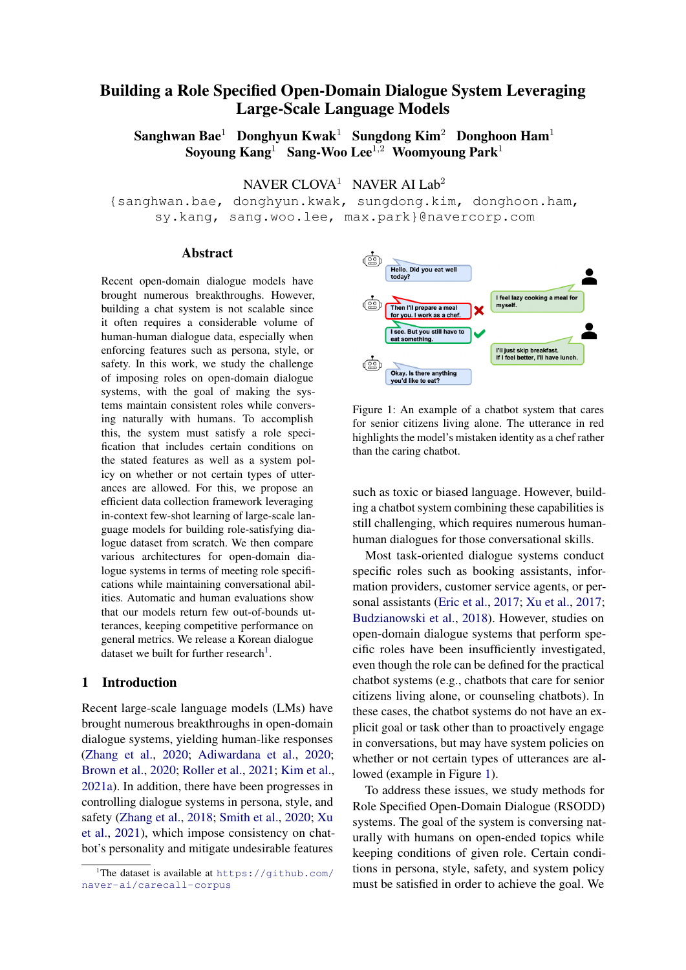<span id="page-8-1"></span>

| Method                                 | Sensibleness Specificity |       | -SSA  |
|----------------------------------------|--------------------------|-------|-------|
| Human                                  | 95.48                    | 82.96 | 89.22 |
| Retrieve-fail-Generate + Feedback Data | 94.00                    | 77.50 | 85.75 |

Table 9: Interactive SSA results.

a result, all types of error rates are consistently reduced (Table [4\)](#page-6-3), and the error rates of both the response selection and generation models are decreased (Table [7\)](#page-7-2). The effect is stronger on the response generation.

#### <span id="page-8-0"></span>5.4 Response Quality

To assess the overall response quality of the proposed chatbot system, we use the sensibleness and specificity average (SSA) metric [\(Adiwardana](#page-9-0) [et al.,](#page-9-0) [2020\)](#page-9-0), which is shown to have a strong correlation with asking raters how humanlike the model is. This metric is a average of two scores: sensibleness and specificity. Sensibleness measures whether a model's responses make sense in context and do not contradict anything that was said earlier, while specificity measures whether a response is specific to a given context. However, exact comparison with the scores in [Adiwardana et al.](#page-9-0) [\(2020\)](#page-9-0) is difficult, because of the static role of our chatbot system and language discrepency in phrasing of questions. Therefore, We re-estimate human interactive SSA in our experiments. To collect human-human conversations, we transcribe 100 call speeches between users and workers who play system's role. And we collect 100 human-bot conversations by allowing the crowd workers to chat with the system. Labeling was conducted by independent crowd workers with majority voting of 5 workers per turn.

The results are given in Table [9.](#page-8-1) It shows that the proposed system is competitive with human in sensibleness. And the majority of the responses from the system are labeled as specific, which allows us to conclude that the proposed system achieves low error rate with non-generic responses. We also report agreement and Krippendorff's alpha [\(Krippen](#page-11-12)[dorff,](#page-11-12) [2011\)](#page-11-12) for measure of consistency of crowd workers in Appendix [G.](#page-15-1)

### 6 Discussion

Although our methods achieve the low error rates in human interactive evaluations, the results have some limitations. The results should be regarded as the error rates of typical conversations without adversarial attack. Because the annotators are instructed to participate in the chat as if they were typical users, they did not try as many conversations that could induce toxic words from the model. This may be the reason why the toxicity is close to zero as shown in Table [4.](#page-6-3)

The human filtering process in the proposed data collection framework has room to be more efficient. Since the accuracy of the classifier is comparable even when just 10% of the total data is used (Table [5\)](#page-6-2), it is expected that the filtering cost can be reduced by adding a model filtering process before human filtering, which is similar to the method proposed in [Sun et al.](#page-11-4) [\(2021\)](#page-11-4).

#### 7 Conclusion

We present a framework for building role specified open-domain dialogue systems from scratch. We propose leveraging large-scale LMs to generate supervisory datasets for training dialogue systems with arbitrary roles with minimal effort for manually composing dialogues. Our research also analyzes several model architectures for the task. By extensive experiments, we demonstrate the effectiveness of the collected data and modeling approaches in terms of satisfying role constraints and improving dialogue abilities. We argue that our framework can be extended to implement dialogue systems with various roles and characters, even when available datasets are few.

### 8 Ethical Considerations

Workers annotating the dataset we built were hired on a part-time basis and compensated based on the number of working hours. They were compensated with 9,000 won per hour, which was somewhat higher than the Korean minimum wage at the time they worked. Appropriate instructions for the use of collected data were given at the time of contract and consent was obtained. We will release our dataset in CC-BY-NC-SA license.[5](#page-8-2)

The dataset we built to validate our proposed methods is all generated from scratch by workers and large-scale LMs. Although there is no user data in the dataset, pre-trained language models are known to exhibit private details in their outputs [\(Carlini et al.,](#page-10-12) [2020\)](#page-10-12), as well as social biases [\(Bender et al.,](#page-9-4) [2021;](#page-9-4) [Bordia and Bowman,](#page-9-5) [2019;](#page-9-5) [Garrido-Muñoz et al.,](#page-10-13) [2021;](#page-10-13) [Shwartz and Choi,](#page-11-13) [2020\)](#page-11-13) and toxic contents [\(Gehman et al.,](#page-10-9) [2020\)](#page-10-9). To

<span id="page-8-2"></span><sup>5</sup>[https://creativecommons.org/licenses/](https://creativecommons.org/licenses/by-nc-sa/2.0/)  $by-nc-sa/2.0/$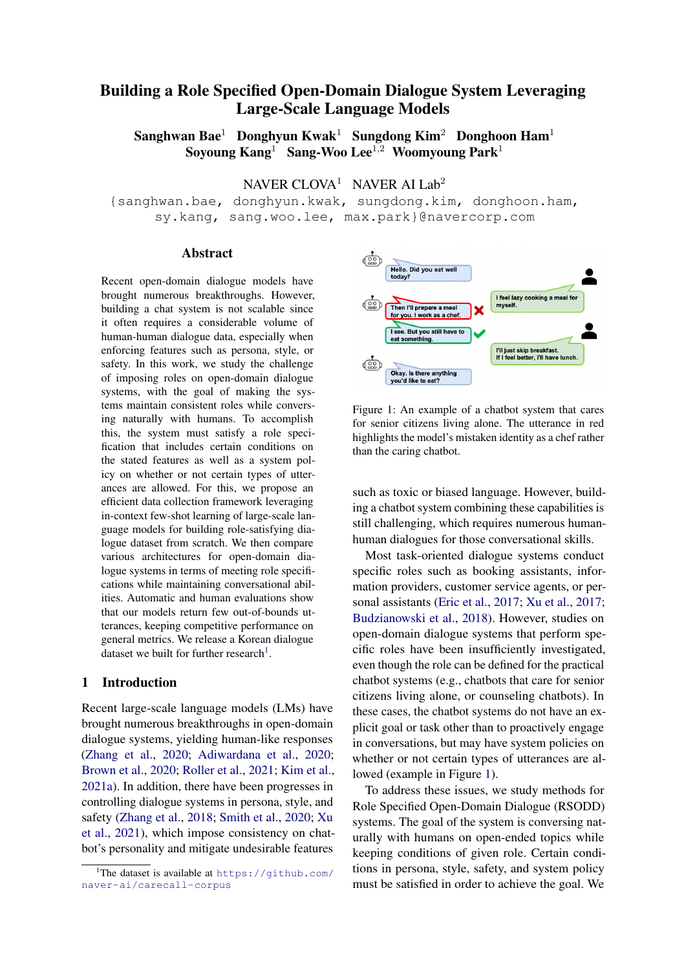address these concerns, we determined categories and criteria for harmful texts based on legal and ethical considerations provided by experts in our group, and we instructed annotators to filter the dataset using these criteria. However, due to missing annotations and cultural or social biases, this may be imperfect. To mitigate this, we had multiple crowd workers annotate the same data. In addition, because the users in the dataset are regarded to be a vulnerable population, our group's ethical consultation looked through the issues that would be sensitive to them, and dialogues containing these topics were also eliminated.

Despite these efforts, using this dataset to directly train end-to-end chatbot models can involve certain risks, due to the lack of controllability and interpretability in end-to-end neural response prediction models. And it should not be overlooked that they may cause some potential harm, even though the chatbot systems can help reduce social loneliness of the user population. For example, a user can become emotionally attached to a bot, even codependent on it, which can divert attention away from real-world relationships and cause distress if the chatbot fails. It's also worth noting that a chatbot can be programmed to impersonate a real person and be used for phishing and fraud. During such conversations, users may provide private and sensitive information, such as specific health conditions and private attributes, which could be exploited if it falls into the wrong hands. For this reason, when incorporating this dataset in real-world applications, the application developers should ensure that it is used safely and ethically.

Since our proposed framework also can be used for building another dataset and chatbot system with arbitrary specifications, it is not exempt from the possibility of propagating linguistic biases and toxicity. Similar to [Xu et al.](#page-12-2) [\(2021\)](#page-12-2), we are in progress continuously reducing the unsafe texts from LM itself through our feedback pipeline and unlikelihood training, which might be included in our future works.

### Acknowledgements

The authors thank all the members of CLOVA and AI Lab of NAVER for devoted supporting and discussion. In particular, they would like to thank Gichang Lee, Hwijeen Ahn, and the members of CLOVA Conversation for their dedicated efforts to facilitate the large-scale models. In addition, the

authors thank Hyeri Kim, Hyunjung Park, and Yuin Jeong for their great help in designing the role of the chatbot. Also, they thank Jeeseung Han for technically supporting the serving and testing environments. Finally, the authors thank Nako Sung for his support and valuable comments on this project.

## References

- <span id="page-9-0"></span>Daniel Adiwardana, Minh-Thang Luong, David R So, Jamie Hall, Noah Fiedel, Romal Thoppilan, Zi Yang, Apoorv Kulshreshtha, Gaurav Nemade, Yifeng Lu, et al. 2020. [Towards a human-like open-domain](https://arxiv.org/abs/2001.09977) [chatbot.](https://arxiv.org/abs/2001.09977) *ArXiv preprint*, abs/2001.09977.
- <span id="page-9-4"></span>Emily M Bender, Timnit Gebru, Angelina McMillan-Major, and Shmargaret Shmitchell. 2021. On the dangers of stochastic parrots: Can language models be too big?. In *Proceedings of the 2021 ACM Conference on Fairness, Accountability, and Transparency*, pages 610–623.
- <span id="page-9-5"></span>Shikha Bordia and Samuel R. Bowman. 2019. [Identify](https://doi.org/10.18653/v1/N19-3002)[ing and reducing gender bias in word-level language](https://doi.org/10.18653/v1/N19-3002) [models.](https://doi.org/10.18653/v1/N19-3002) In *Proceedings of the 2019 Conference of the North American Chapter of the Association for Computational Linguistics: Student Research Workshop*, pages 7–15, Minneapolis, Minnesota. Association for Computational Linguistics.
- <span id="page-9-1"></span>Tom B. Brown, Benjamin Mann, Nick Ryder, Melanie Subbiah, Jared Kaplan, Prafulla Dhariwal, Arvind Neelakantan, Pranav Shyam, Girish Sastry, Amanda Askell, Sandhini Agarwal, Ariel Herbert-Voss, Gretchen Krueger, Tom Henighan, Rewon Child, Aditya Ramesh, Daniel M. Ziegler, Jeffrey Wu, Clemens Winter, Christopher Hesse, Mark Chen, Eric Sigler, Mateusz Litwin, Scott Gray, Benjamin Chess, Jack Clark, Christopher Berner, Sam Mc-Candlish, Alec Radford, Ilya Sutskever, and Dario Amodei. 2020. [Language models are few-shot learn](https://proceedings.neurips.cc/paper/2020/hash/1457c0d6bfcb4967418bfb8ac142f64a-Abstract.html)[ers.](https://proceedings.neurips.cc/paper/2020/hash/1457c0d6bfcb4967418bfb8ac142f64a-Abstract.html) In *Advances in Neural Information Processing Systems 33: Annual Conference on Neural Information Processing Systems 2020, NeurIPS 2020, December 6-12, 2020, virtual*.
- <span id="page-9-2"></span>Paweł Budzianowski, Tsung-Hsien Wen, Bo-Hsiang Tseng, Iñigo Casanueva, Stefan Ultes, Osman Ra-madan, and Milica Gašić. 2018. [MultiWOZ - a](https://doi.org/10.18653/v1/D18-1547) [large-scale multi-domain Wizard-of-Oz dataset for](https://doi.org/10.18653/v1/D18-1547) [task-oriented dialogue modelling.](https://doi.org/10.18653/v1/D18-1547) In *Proceedings of the 2018 Conference on Empirical Methods in Natural Language Processing*, pages 5016–5026, Brussels, Belgium. Association for Computational Linguistics.
- <span id="page-9-3"></span>Giovanni Campagna, Agata Foryciarz, Mehrad Moradshahi, and Monica Lam. 2020. [Zero-shot transfer](https://doi.org/10.18653/v1/2020.acl-main.12) [learning with synthesized data for multi-domain dia](https://doi.org/10.18653/v1/2020.acl-main.12)[logue state tracking.](https://doi.org/10.18653/v1/2020.acl-main.12) In *Proceedings of the 58th Annual Meeting of the Association for Computational Linguistics*, pages 122–132, Online. Association for Computational Linguistics.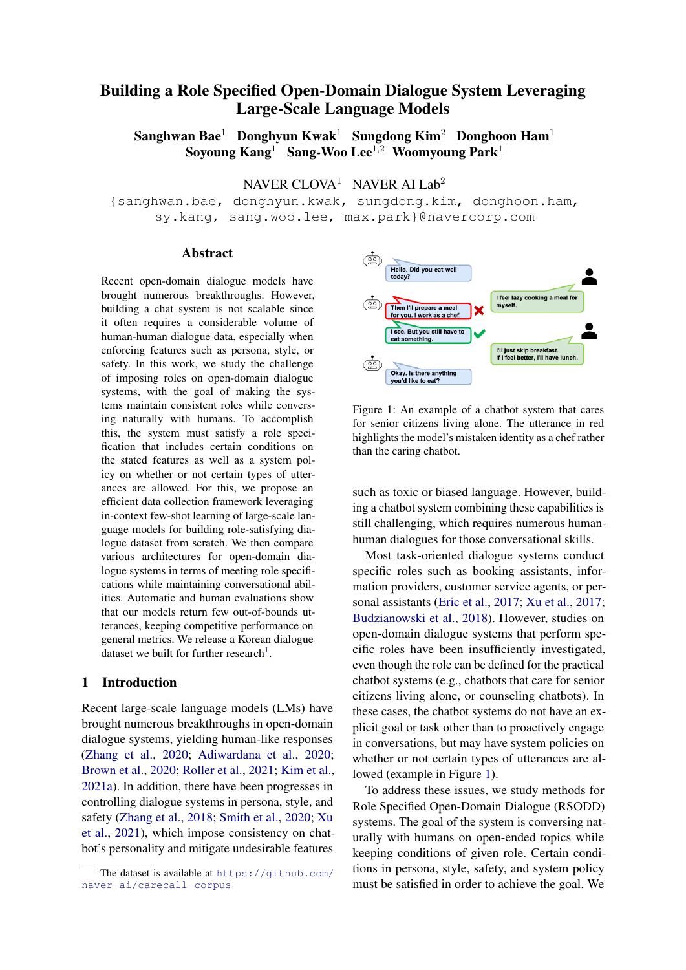- <span id="page-10-12"></span>Nicholas Carlini, Florian Tramèr, Eric Wallace, Matthew Jagielski, Ariel Herbert-Voss, Katherine Lee, Adam Roberts, Tom B. Brown, Dawn Song, Úlfar Erlingsson, Alina Oprea, and Colin Raffel. 2020. [Extracting training data from large language](https://arxiv.org/abs/2012.07805) [models.](https://arxiv.org/abs/2012.07805) *ArXiv preprint*, abs/2012.07805.
- <span id="page-10-5"></span>Jacob Devlin, Ming-Wei Chang, Kenton Lee, and Kristina Toutanova. 2019. [BERT: Pre-training of](https://doi.org/10.18653/v1/N19-1423) [deep bidirectional transformers for language under](https://doi.org/10.18653/v1/N19-1423)[standing.](https://doi.org/10.18653/v1/N19-1423) In *Proceedings of the 2019 Conference of the North American Chapter of the Association for Computational Linguistics: Human Language Technologies, Volume 1 (Long and Short Papers)*, pages 4171–4186, Minneapolis, Minnesota. Association for Computational Linguistics.
- <span id="page-10-1"></span>Mihail Eric, Lakshmi Krishnan, Francois Charette, and Christopher D. Manning. 2017. [Key-value retrieval](https://doi.org/10.18653/v1/W17-5506) [networks for task-oriented dialogue.](https://doi.org/10.18653/v1/W17-5506) In *Proceedings of the 18th Annual SIGdial Meeting on Discourse and Dialogue*, pages 37–49, Saarbrücken, Germany. Association for Computational Linguistics.
- <span id="page-10-7"></span>Yulan Feng, Shikib Mehri, Maxine Eskenazi, and Tiancheng Zhao. 2020. ["none of the above": Mea](https://doi.org/10.18653/v1/2020.acl-main.182)[sure uncertainty in dialog response retrieval.](https://doi.org/10.18653/v1/2020.acl-main.182) In *Proceedings of the 58th Annual Meeting of the Association for Computational Linguistics*, pages 2013– 2020, Online. Association for Computational Linguistics.
- <span id="page-10-16"></span>Sarah E. Finch and Jinho D. Choi. 2020. [Towards uni](https://aclanthology.org/2020.sigdial-1.29)[fied dialogue system evaluation: A comprehensive](https://aclanthology.org/2020.sigdial-1.29) [analysis of current evaluation protocols.](https://aclanthology.org/2020.sigdial-1.29) In *Proceedings of the 21th Annual Meeting of the Special Interest Group on Discourse and Dialogue*, pages 236– 245, 1st virtual meeting. Association for Computational Linguistics.
- <span id="page-10-8"></span>Yarin Gal and Zoubin Ghahramani. 2016. [Dropout as](http://proceedings.mlr.press/v48/gal16.html) [a bayesian approximation: Representing model un](http://proceedings.mlr.press/v48/gal16.html)[certainty in deep learning.](http://proceedings.mlr.press/v48/gal16.html) In *Proceedings of the 33nd International Conference on Machine Learning, ICML 2016, New York City, NY, USA, June 19- 24, 2016*, volume 48 of *JMLR Workshop and Conference Proceedings*, pages 1050–1059. JMLR.org.
- <span id="page-10-13"></span>Ismael Garrido-Muñoz, Arturo Montejo-Ráez, Fernando Martínez-Santiago, and L Alfonso Ureña-López. 2021. A survey on bias in deep nlp. *Applied Sciences*, 11(7):3184.
- <span id="page-10-9"></span>Samuel Gehman, Suchin Gururangan, Maarten Sap, Yejin Choi, and Noah A. Smith. 2020. [RealTox](https://doi.org/10.18653/v1/2020.findings-emnlp.301)[icityPrompts: Evaluating neural toxic degeneration](https://doi.org/10.18653/v1/2020.findings-emnlp.301) [in language models.](https://doi.org/10.18653/v1/2020.findings-emnlp.301) In *Findings of the Association for Computational Linguistics: EMNLP 2020*, pages 3356–3369, Online. Association for Computational Linguistics.
- <span id="page-10-10"></span>Seungju Han, Beomsu Kim, Seokjun Seo, Enkhbayar Erdenee, and Buru Chang. 2021. [Understand](https://arxiv.org/abs/2112.06723)[ing and improving the exemplar-based generation](https://arxiv.org/abs/2112.06723) [for open-domain conversation.](https://arxiv.org/abs/2112.06723) *ArXiv preprint*, abs/2112.06723.
- <span id="page-10-3"></span>Matthew Henderson, Blaise Thomson, and Jason D. Williams. 2014a. [The second dialog state tracking](https://doi.org/10.3115/v1/W14-4337) [challenge.](https://doi.org/10.3115/v1/W14-4337) In *Proceedings of the 15th Annual Meeting of the Special Interest Group on Discourse and Dialogue (SIGDIAL)*, pages 263–272, Philadelphia, PA, U.S.A. Association for Computational Linguistics.
- <span id="page-10-4"></span>Matthew Henderson, Blaise Thomson, and Jason D Williams. 2014b. The third dialog state tracking challenge. In *2014 IEEE Spoken Language Technology Workshop (SLT)*, pages 324–329. IEEE.
- <span id="page-10-11"></span>Ari Holtzman, Jan Buys, Li Du, Maxwell Forbes, and Yejin Choi. 2020. [The curious case of neural text](https://openreview.net/forum?id=rygGQyrFvH) [degeneration.](https://openreview.net/forum?id=rygGQyrFvH) In *8th International Conference on Learning Representations, ICLR 2020, Addis Ababa, Ethiopia, April 26-30, 2020*. OpenReview.net.
- <span id="page-10-15"></span>Edward J Hu, Yelong Shen, Phillip Wallis, Zeyuan Allen-Zhu, Yuanzhi Li, Shean Wang, and Weizhu Chen. 2021. [Lora: Low-rank adaptation of large lan](https://arxiv.org/abs/2106.09685)[guage models.](https://arxiv.org/abs/2106.09685) *ArXiv preprint*, abs/2106.09685.
- <span id="page-10-6"></span>Samuel Humeau, Kurt Shuster, Marie-Anne Lachaux, and Jason Weston. 2020. [Poly-encoders: Architec](https://openreview.net/forum?id=SkxgnnNFvH)[tures and pre-training strategies for fast and accurate](https://openreview.net/forum?id=SkxgnnNFvH) [multi-sentence scoring.](https://openreview.net/forum?id=SkxgnnNFvH) In *8th International Conference on Learning Representations, ICLR 2020, Addis Ababa, Ethiopia, April 26-30, 2020*. OpenReview.net.
- <span id="page-10-0"></span>Boseop Kim, HyoungSeok Kim, Sang-Woo Lee, Gichang Lee, Donghyun Kwak, Jeon Dong Hyeon, Sunghyun Park, Sungju Kim, Seonhoon Kim, Dongpil Seo, Heungsub Lee, Minyoung Jeong, Sungjae Lee, Minsub Kim, Suk Hyun Ko, Seokhun Kim, Taeyong Park, Jinuk Kim, Soyoung Kang, Na-Hyeon Ryu, Kang Min Yoo, Minsuk Chang, Soobin Suh, Sookyo In, Jinseong Park, Kyungduk Kim, Hiun Kim, Jisu Jeong, Yong Goo Yeo, Donghoon Ham, Dongju Park, Min Young Lee, Jaewook Kang, Inho Kang, Jung-Woo Ha, Woomyoung Park, and Nako Sung. 2021a. [What changes can large-scale](https://doi.org/10.18653/v1/2021.emnlp-main.274) [language models bring? intensive study on Hy](https://doi.org/10.18653/v1/2021.emnlp-main.274)[perCLOVA: Billions-scale Korean generative pre](https://doi.org/10.18653/v1/2021.emnlp-main.274)[trained transformers.](https://doi.org/10.18653/v1/2021.emnlp-main.274) In *Proceedings of the 2021 Conference on Empirical Methods in Natural Language Processing*, pages 3405–3424, Online and Punta Cana, Dominican Republic. Association for Computational Linguistics.
- <span id="page-10-14"></span>Hanjoo Kim, Minkyu Kim, Dongjoo Seo, Jinwoong Kim, Heungseok Park, Soeun Park, Hyunwoo Jo, KyungHyun Kim, Youngil Yang, Youngkwan Kim, et al. 2018. [Nsml: Meet the mlaas platform](https://arxiv.org/abs/1810.09957) [with a real-world case study.](https://arxiv.org/abs/1810.09957) *ArXiv preprint*, abs/1810.09957.
- <span id="page-10-2"></span>Sungdong Kim, Minsuk Chang, and Sang-Woo Lee. 2021b. [NeuralWOZ: Learning to collect task](https://doi.org/10.18653/v1/2021.acl-long.287)[oriented dialogue via model-based simulation.](https://doi.org/10.18653/v1/2021.acl-long.287) In *Proceedings of the 59th Annual Meeting of the Association for Computational Linguistics and the*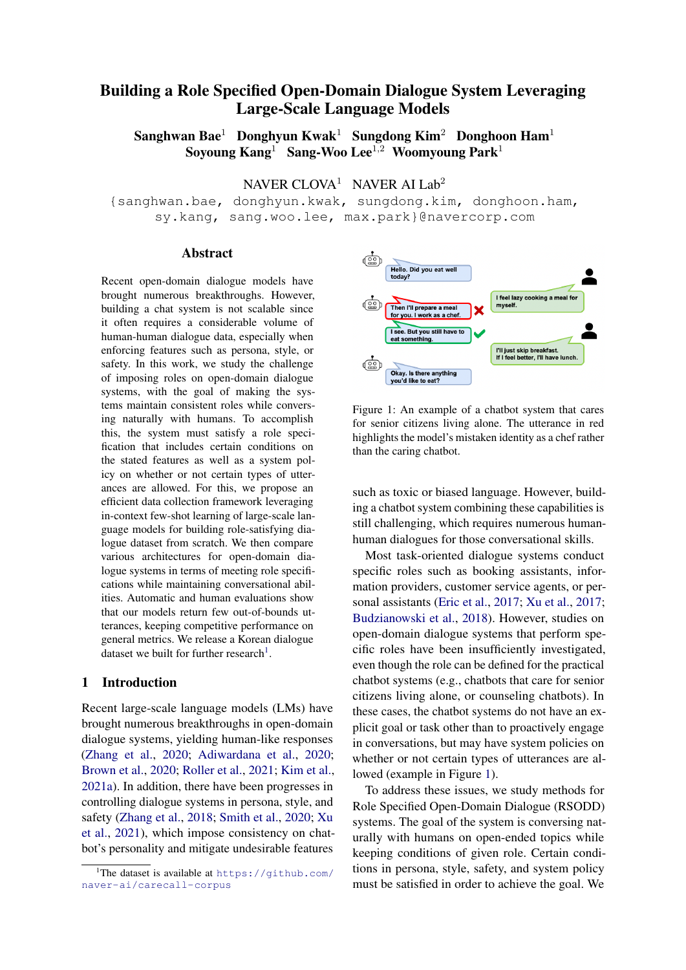*11th International Joint Conference on Natural Language Processing (Volume 1: Long Papers)*, pages 3704–3717, Online. Association for Computational Linguistics.

- <span id="page-11-6"></span>Stefan Kopp, Mara Brandt, Hendrik Buschmeier, Katharina Cyra, Farina Freigang, Nicole C. Krämer, Franz Kummert, Christiane Opfermann, Karola Pitsch, Lars Schillingmann, Carolin Straßmann, Eduard Wall, and Ramin Yaghoubzadeh. 2018. Conversational assistants for elderly users - the importance of socially cooperative dialogue. In *IC-AHGCA@AAMAS*.
- <span id="page-11-12"></span>Klaus Krippendorff. 2011. Computing krippendorff's alpha-reliability.
- <span id="page-11-11"></span>Jiwei Li, Michel Galley, Chris Brockett, Jianfeng Gao, and Bill Dolan. 2016. [A diversity-promoting ob](https://doi.org/10.18653/v1/N16-1014)[jective function for neural conversation models.](https://doi.org/10.18653/v1/N16-1014) In *Proceedings of the 2016 Conference of the North American Chapter of the Association for Computational Linguistics: Human Language Technologies*, pages 110–119, San Diego, California. Association for Computational Linguistics.
- <span id="page-11-10"></span>Margaret Li, Stephen Roller, Ilia Kulikov, Sean Welleck, Y-Lan Boureau, Kyunghyun Cho, and Jason Weston. 2020. [Don't say that! making inconsis](https://doi.org/10.18653/v1/2020.acl-main.428)[tent dialogue unlikely with unlikelihood training.](https://doi.org/10.18653/v1/2020.acl-main.428) In *Proceedings of the 58th Annual Meeting of the Association for Computational Linguistics*, pages 4715– 4728, Online. Association for Computational Linguistics.
- <span id="page-11-16"></span>Yanran Li, Hui Su, Xiaoyu Shen, Wenjie Li, Ziqiang Cao, and Shuzi Niu. 2017. [DailyDialog: A manually](https://aclanthology.org/I17-1099) [labelled multi-turn dialogue dataset.](https://aclanthology.org/I17-1099) In *Proceedings of the Eighth International Joint Conference on Natural Language Processing (Volume 1: Long Papers)*, pages 986–995, Taipei, Taiwan. Asian Federation of Natural Language Processing.
- <span id="page-11-7"></span>Jiachang Liu, Dinghan Shen, Yizhe Zhang, Bill Dolan, Lawrence Carin, and Weizhu Chen. 2021. [What](https://arxiv.org/abs/2101.06804) [makes good in-context examples for gpt-](https://arxiv.org/abs/2101.06804)3? *ArXiv preprint*, abs/2101.06804.
- <span id="page-11-8"></span>Gustavo Penha and Claudia Hauff. 2021. [On the cal](https://doi.org/10.18653/v1/2021.eacl-main.12)[ibration and uncertainty of neural learning to rank](https://doi.org/10.18653/v1/2021.eacl-main.12) [models for conversational search.](https://doi.org/10.18653/v1/2021.eacl-main.12) In *Proceedings of the 16th Conference of the European Chapter of the Association for Computational Linguistics: Main Volume*, pages 160–170, Online. Association for Computational Linguistics.
- <span id="page-11-0"></span>Stephen Roller, Emily Dinan, Naman Goyal, Da Ju, Mary Williamson, Yinhan Liu, Jing Xu, Myle Ott, Eric Michael Smith, Y-Lan Boureau, and Jason Weston. 2021. [Recipes for building an open-domain](https://doi.org/10.18653/v1/2021.eacl-main.24) [chatbot.](https://doi.org/10.18653/v1/2021.eacl-main.24) In *Proceedings of the 16th Conference of the European Chapter of the Association for Computational Linguistics: Main Volume*, pages 300–325, Online. Association for Computational Linguistics.
- <span id="page-11-2"></span>Jost Schatzmann, Blaise Thomson, Karl Weilhammer, Hui Ye, and Steve Young. 2007. [Agenda-based](https://aclanthology.org/N07-2038) [user simulation for bootstrapping a POMDP dia](https://aclanthology.org/N07-2038)[logue system.](https://aclanthology.org/N07-2038) In *Human Language Technologies 2007: The Conference of the North American Chapter of the Association for Computational Linguistics; Companion Volume, Short Papers*, pages 149– 152, Rochester, New York. Association for Computational Linguistics.
- <span id="page-11-3"></span>Pararth Shah, Dilek Hakkani-Tür, Bing Liu, and Gokhan Tür. 2018. [Bootstrapping a neural conversa](https://doi.org/10.18653/v1/N18-3006)[tional agent with dialogue self-play, crowdsourcing](https://doi.org/10.18653/v1/N18-3006) [and on-line reinforcement learning.](https://doi.org/10.18653/v1/N18-3006) In *Proceedings of the 2018 Conference of the North American Chapter of the Association for Computational Linguistics: Human Language Technologies, Volume 3 (Industry Papers)*, pages 41–51, New Orleans - Louisiana. Association for Computational Linguistics.
- <span id="page-11-14"></span>Mohammad Shoeybi, Mostofa Patwary, Raul Puri, Patrick LeGresley, Jared Casper, and Bryan Catanzaro. 2019. [Megatron-lm: Training multi-billion pa](https://arxiv.org/abs/1909.08053)[rameter language models using model parallelism.](https://arxiv.org/abs/1909.08053) *ArXiv preprint*, abs/1909.08053.
- <span id="page-11-5"></span>Kurt Shuster, Jack Urbanek, Arthur Szlam, and Jason Weston. 2021. [Am i me or you? state-of-the-art di](https://arxiv.org/abs/2112.05843)[alogue models cannot maintain an identity.](https://arxiv.org/abs/2112.05843) *ArXiv preprint*, abs/2112.05843.
- <span id="page-11-13"></span>Vered Shwartz and Yejin Choi. 2020. [Do neural lan](https://doi.org/10.18653/v1/2020.coling-main.605)[guage models overcome reporting bias?](https://doi.org/10.18653/v1/2020.coling-main.605) In *Proceedings of the 28th International Conference on Computational Linguistics*, pages 6863–6870, Barcelona, Spain (Online). International Committee on Computational Linguistics.
- <span id="page-11-1"></span>Eric Michael Smith, Diana Gonzalez-Rico, Emily Dinan, and Y-Lan Boureau. 2020. [Controlling](https://arxiv.org/abs/2009.10855) [style in generated dialogue.](https://arxiv.org/abs/2009.10855) *ArXiv preprint*, abs/2009.10855.
- <span id="page-11-9"></span>Nitish Srivastava, Geoffrey Hinton, Alex Krizhevsky, Ilya Sutskever, and Ruslan Salakhutdinov. 2014. Dropout: a simple way to prevent neural networks from overfitting. *The journal of machine learning research*, 15(1):1929–1958.
- <span id="page-11-4"></span>Kai Sun, Seungwhan Moon, Paul Crook, Stephen Roller, Becka Silvert, Bing Liu, Zhiguang Wang, Honglei Liu, Eunjoon Cho, and Claire Cardie. 2021. [Adding chit-chat to enhance task-oriented dialogues.](https://doi.org/10.18653/v1/2021.naacl-main.124) In *Proceedings of the 2021 Conference of the North American Chapter of the Association for Computational Linguistics: Human Language Technologies*, pages 1570–1583, Online. Association for Computational Linguistics.
- <span id="page-11-15"></span>Nako Sung, Minkyu Kim, Hyunwoo Jo, Youngil Yang, Jingwoong Kim, Leonard Lausen, Youngkwan Kim, Gayoung Lee, Donghyun Kwak, Jung-Woo Ha, et al. 2017. [Nsml: A machine learning platform that en](https://arxiv.org/abs/1712.05902)[ables you to focus on your models.](https://arxiv.org/abs/1712.05902) *ArXiv preprint*, abs/1712.05902.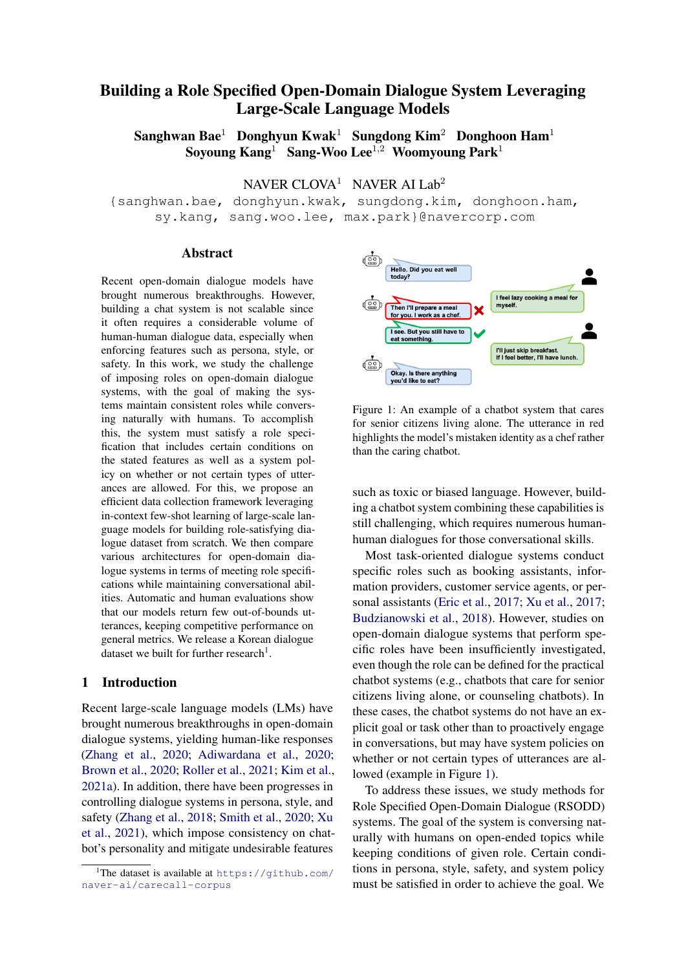- <span id="page-12-8"></span>Ashish Vaswani, Noam Shazeer, Niki Parmar, Jakob Uszkoreit, Llion Jones, Aidan N. Gomez, Lukasz Kaiser, and Illia Polosukhin. 2017. [Attention is all](https://proceedings.neurips.cc/paper/2017/hash/3f5ee243547dee91fbd053c1c4a845aa-Abstract.html) [you need.](https://proceedings.neurips.cc/paper/2017/hash/3f5ee243547dee91fbd053c1c4a845aa-Abstract.html) In *Advances in Neural Information Processing Systems 30: Annual Conference on Neural Information Processing Systems 2017, December 4- 9, 2017, Long Beach, CA, USA*, pages 5998–6008.
- <span id="page-12-5"></span>Nick Webb, David Benyon, Jay Bradley, Preben Hansen, and Oil Mival. 2010. [Wizard of Oz ex](http://www.lrec-conf.org/proceedings/lrec2010/pdf/435_Paper.pdf)[periments for a companion dialogue system: Elic](http://www.lrec-conf.org/proceedings/lrec2010/pdf/435_Paper.pdf)[iting companionable conversation.](http://www.lrec-conf.org/proceedings/lrec2010/pdf/435_Paper.pdf) In *Proceedings of the Seventh International Conference on Language Resources and Evaluation (LREC'10)*, Valletta, Malta. European Language Resources Association (ELRA).
- <span id="page-12-6"></span>Sean Welleck, Ilia Kulikov, Stephen Roller, Emily Dinan, Kyunghyun Cho, and Jason Weston. 2020. [Neu](https://openreview.net/forum?id=SJeYe0NtvH)[ral text generation with unlikelihood training.](https://openreview.net/forum?id=SJeYe0NtvH) In *8th International Conference on Learning Representations, ICLR 2020, Addis Ababa, Ethiopia, April 26- 30, 2020*. OpenReview.net.
- <span id="page-12-7"></span>Jason Weston, Emily Dinan, and Alexander Miller. 2018. [Retrieve and refine: Improved sequence gen](https://doi.org/10.18653/v1/W18-5713)[eration models for dialogue.](https://doi.org/10.18653/v1/W18-5713) In *Proceedings of the 2018 EMNLP Workshop SCAI: The 2nd International Workshop on Search-Oriented Conversational AI*, pages 87–92, Brussels, Belgium. Association for Computational Linguistics.
- <span id="page-12-4"></span>Jason Williams, Antoine Raux, Deepak Ramachandran, and Alan Black. 2013. [The dialog state tracking](https://aclanthology.org/W13-4065) [challenge.](https://aclanthology.org/W13-4065) In *Proceedings of the SIGDIAL 2013 Conference*, pages 404–413, Metz, France. Association for Computational Linguistics.
- <span id="page-12-9"></span>Thomas Wolf, Lysandre Debut, Victor Sanh, Julien Chaumond, Clement Delangue, Anthony Moi, Pierric Cistac, Tim Rault, Remi Louf, Morgan Funtowicz, Joe Davison, Sam Shleifer, Patrick von Platen, Clara Ma, Yacine Jernite, Julien Plu, Canwen Xu, Teven Le Scao, Sylvain Gugger, Mariama Drame, Quentin Lhoest, and Alexander Rush. 2020. [Trans](https://doi.org/10.18653/v1/2020.emnlp-demos.6)[formers: State-of-the-art natural language process](https://doi.org/10.18653/v1/2020.emnlp-demos.6)[ing.](https://doi.org/10.18653/v1/2020.emnlp-demos.6) In *Proceedings of the 2020 Conference on Empirical Methods in Natural Language Processing: System Demonstrations*, pages 38–45, Online. Association for Computational Linguistics.
- <span id="page-12-10"></span>Wenquan Wu, Zhen Guo, Xiangyang Zhou, Hua Wu, Xiyuan Zhang, Rongzhong Lian, and Haifeng Wang. 2019. [Proactive human-machine conversation with](https://doi.org/10.18653/v1/P19-1369) [explicit conversation goal.](https://doi.org/10.18653/v1/P19-1369) In *Proceedings of the 57th Annual Meeting of the Association for Computational Linguistics*, pages 3794–3804, Florence, Italy. Association for Computational Linguistics.
- <span id="page-12-3"></span>Anbang Xu, Zhe Liu, Yufan Guo, Vibha Sinha, and Rama Akkiraju. 2017. [A new chatbot for customer](https://doi.org/10.1145/3025453.3025496) [service on social media.](https://doi.org/10.1145/3025453.3025496) In *Proceedings of the 2017 CHI Conference on Human Factors in Computing Systems, Denver, CO, USA, May 06-11, 2017*, pages 3506–3510. ACM.
- <span id="page-12-2"></span>Jing Xu, Da Ju, Margaret Li, Y-Lan Boureau, Jason Weston, and Emily Dinan. 2021. [Bot-adversarial dia](https://doi.org/10.18653/v1/2021.naacl-main.235)[logue for safe conversational agents.](https://doi.org/10.18653/v1/2021.naacl-main.235) In *Proceedings of the 2021 Conference of the North American Chapter of the Association for Computational Linguistics: Human Language Technologies*, pages 2950–2968, Online. Association for Computational Linguistics.
- <span id="page-12-1"></span>Saizheng Zhang, Emily Dinan, Jack Urbanek, Arthur Szlam, Douwe Kiela, and Jason Weston. 2018. [Per](https://doi.org/10.18653/v1/P18-1205)[sonalizing dialogue agents: I have a dog, do you](https://doi.org/10.18653/v1/P18-1205) [have pets too?](https://doi.org/10.18653/v1/P18-1205) In *Proceedings of the 56th Annual Meeting of the Association for Computational Linguistics (Volume 1: Long Papers)*, pages 2204– 2213, Melbourne, Australia. Association for Computational Linguistics.
- <span id="page-12-0"></span>Yizhe Zhang, Siqi Sun, Michel Galley, Yen-Chun Chen, Chris Brockett, Xiang Gao, Jianfeng Gao, Jingjing Liu, and Bill Dolan. 2020. [DIALOGPT : Large](https://doi.org/10.18653/v1/2020.acl-demos.30)[scale generative pre-training for conversational re](https://doi.org/10.18653/v1/2020.acl-demos.30)[sponse generation.](https://doi.org/10.18653/v1/2020.acl-demos.30) In *Proceedings of the 58th Annual Meeting of the Association for Computational Linguistics: System Demonstrations*, pages 270–278, Online. Association for Computational Linguistics.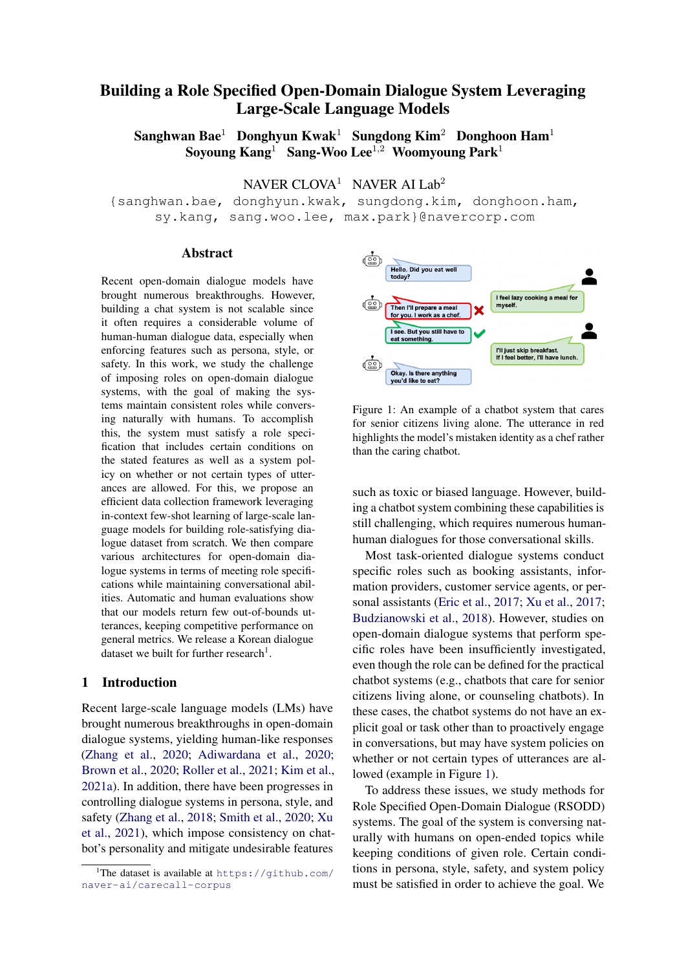#### A Training Details

Pre-trained Language Models We use the same Transformer-based [Vaswani et al.](#page-12-8) [\(2017\)](#page-12-8) pretrained language model for retriever, reranker, and classifier. Our pre-training strategy involves training with a masked language model (MLM) task identical to BERT [\(Devlin et al.,](#page-10-5) [2019\)](#page-10-5). The model is based on Huggingface Transformers [\(Wolf et al.,](#page-12-9) [2020\)](#page-12-9). We use the corpus that we produced inhouse and the public Korean dialogue corpus $<sup>6</sup>$  $<sup>6</sup>$  $<sup>6</sup>$ </sup> for pre-training. Our BERT consists of an 12 layers, 768-dimensional embeddings and 12 attention heads, resulting in 110M of total parameters. And we use 6.9B size of HyperCLOVA [\(Kim](#page-10-0) [et al.,](#page-10-0) [2021a\)](#page-10-0) as the pre-trained language model for generator. This model is based on megatron-LM [\(Shoeybi et al.,](#page-11-14) [2019\)](#page-11-14). The model specification follows [Kim et al.](#page-10-0) [\(2021a\)](#page-10-0). Naver Smart Machine Learning (NSML) platform [\(Sung et al.,](#page-11-15) [2017;](#page-11-15) [Kim](#page-10-14) [et al.,](#page-10-14) [2018\)](#page-10-14) has been used in the experiments.

Retriever We employ the poly-encoder architecture of [Humeau et al.](#page-10-6) [\(2020\)](#page-10-6) with 256-dimensional embeddings and 16 codes. We truncated dialogue histories exceeding 10 turns or 256 tokens. The model was trained with a batch size of 32 with inbatch negatives. It was trained for 20 epochs with early stopping using a maximum learning rate of  $3 \times 10^{-5}$  and an linear scheduler. This fine-tuning took approximately 6 hours using 1 NVIDIA V100.

Reranker We employ the cross-encoder architecture. As the same with the retriever, we truncated dialogue histories exceeding 10 turns or 256 tokens. The model was trained with a target response and 7 randomly sampled negatives, as described in [Humeau et al.](#page-10-6) [\(2020\)](#page-10-6). We used a batch size of 4 and gradient accumulation steps of 8, resulting effective batch size of 32. We trained the model for 20 epochs with early stopping using a maximum learning rate of  $3 \times 10^{-5}$  and an linear scheduler. This took approximately a week using 4 NVIDIA V100.

Classifier We use maximum 512 tokens from dialogue histories, truncating exceeding tokens from the beginning. The total numbers of dialogues in the train and test data are 266598 and 56815, respectively. Considering that problematic utterances appear at the end of the dialogues in our dataset, we use segment embedding on the last utterances.

<span id="page-13-2"></span>

| Method     | AUC    |
|------------|--------|
| MC Dropout | 0.5985 |
| PPL.       | 0.6943 |

Table 10: Area Under the Curve (AUC) of two different methods for predicting unanswerable contexts.

<span id="page-13-1"></span>

Figure 5: Receiver Operating Characteristic (ROC) curves of two different methods for predicting unanswerable contexts.

The input therefore looks like this: [CLS] *dialogue history* [SEP] *response*. The model is trained with a batch size of 16 for 100 epochs using an initial learning rate of 10<sup>-6</sup> and an exponential scheduler. We trained 15 classifiers, 5 each using 10%, 20%, and 100% of the training data. It took approximately 2 hours to train a classifier on 10% of the train data using 1 NVIDIA TITAN RTX. Table [5](#page-6-2) shows the mean accuracy and mean F1 score of the classifiers. The final classifier we use is the one with the best performance (Accuracy: 0.9234, F1: 0.9276, trained on 100% of the data).

Generator For efficient training, we employ LoRA [\(Hu et al.,](#page-10-15) [2021\)](#page-10-15) for all generator fine-tuning. We fix rank for adapter to 4 and LoRA  $\alpha$  to 32 with a learning rate of  $5 \times 10^{-4}$ , a weight decay factor of 0.1, and a batch size of 8. The maximum training epochs are 3 with early stopping. This took about 5 hours using 1 NVIDIA V100.

### B Inference Speed

Table [11](#page-14-4) shows the average inference latency of each architecture in experiments. All models were run on a single NVIDIA A100 using cuda 11.1 and cudnn 8.0.5.

<span id="page-13-0"></span><sup>6</sup> https://aihub.or.kr/aihub-data/natural-language/about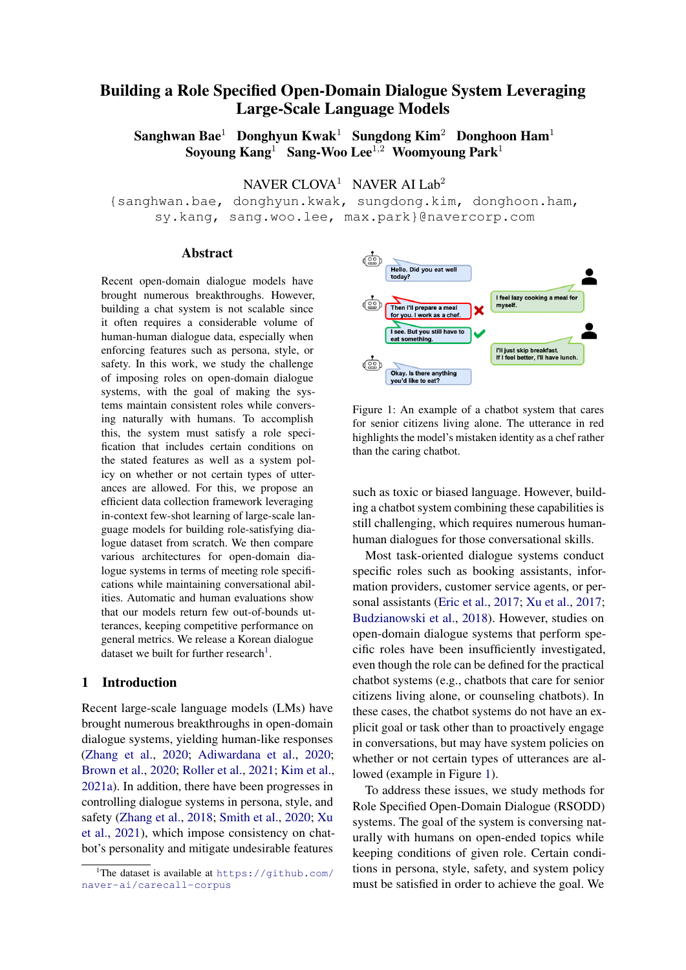<span id="page-14-4"></span>

| Model                            | <b>Latency</b> (sec.) |
|----------------------------------|-----------------------|
| Generator + Classifier           | 1.35                  |
| Retrieve-and-Rerank              | 0.15                  |
| Retrieve-and-Rerank + MC Dropout | 0.40                  |
| Retrieve-and-Rerank $+LM$ PPL.   | 0.58                  |
| Generator                        | 1.24                  |
| Retrieve-fail-Generate           | 0.72                  |

Table 11: Average inference latency of proposed model architectures.

# <span id="page-14-0"></span>C Validation Set for Predicting Unanswerable Contexts

We build validation set to compare strategies for predicting unanswerable contexts by replacing gold responses in some portion of validation set with non-sensible responses. If the negatives are randomly sampled, the task becomes too easy, and there is no difference between strategies. Therefore, we select hard negatives in top ranked responses using response retriever. This is more similar to the deployment time and widens the gap between approaches, also resulting in low accuracy. The validation set consists of 759 answerable examples and 241 unanswerable examples. Figure [5](#page-13-1) shows the ROC curve of the proposed methods and Table [10](#page-13-2) shows the result AUC. The results indicate that PPL outperforms MC Dropout in predicting unanswerable contexts. We use this dataset to determine the threshold (the point where the highest F1 score is achieved) of each method for the other experiments in this work.

## <span id="page-14-1"></span>D Topics in Dataset

The dataset (Section [5.1\)](#page-5-2) covers a wide range of daily topics: eating, sleeping, exercising, health, going out, mood, hobbies, job, travel, weather, and so on. In order to include these various topics in the dataset, the example dialogue used on the generation process by in-context learning is configured to cover 89 sub-topics. These topics can be found in Table [13.](#page-16-1) The generated dialogues are not confined to these sub-topics, and topic shifts occur frequently within conversations (See Table [14](#page-17-0) for examples).

## <span id="page-14-2"></span>E Diversity of Collected Dataset

Distinct-1 and distinct-2 of the generated dialogues (Generated) in Table [2](#page-5-0) are smaller than those written by humans (Example). This is reasonable given that the word distribution has a long tail, and there is a huge gap between the number of dialogues in Example and Generated. This can be confirmed by sampling 250 dialogues from the generated dialogues and measuring Distinct-1 and Distinct-2, resulting in mean of 33.94 (0.0039) and 76.34 (0.0054), respectively (standard deviation in brackets). Also, the overall distinct-1 and distinct-2 scales are reasonable.

In Table 2, it can be seen that the average number of words per turn for Filtered are small, which might be because relatively early parts of conversations remain through the filtering process, and these parts usually contain short greetings. Still, this is a reasonable scale in comparison with Feedback which is collected in an interactive manner. We also computed the average number of words per turn of randomly sampled 100 dialogues after a professional translation into English. The result was 11.2, which is reasonable in daily conversations (14.6 in DailyDialogue [\(Li et al.,](#page-11-16) [2017\)](#page-11-16) for the same metric).

# <span id="page-14-3"></span>F Human Evaluation on Generated **Dialogues**

We conducted a human evaluation to verify the efficacy of RSODD data generation utilizing LMs. Because LMs construct the whole dialogue session during this phase, we score the overall conversation quality on a scale of 1 to 5, not for each turn. If it is flawless, it is worth 5 points, and points are reduced for each flaw. Table [15](#page-17-1) provides the dimensions used for this evaluation. For general dialogue generation ability, crowdworkers were asked to annotate if the dialogue is fluent and coherent [\(Wu](#page-12-10) [et al.,](#page-12-10) [2019;](#page-12-10) [Finch and Choi,](#page-10-16) [2020\)](#page-10-16). Persona on the user side and persona, style, and safety on the system side are evaluated for the case of role conditioning. These are part of role specification in Table [1](#page-3-1) and correspond to the items expected to be controlled by in-context learning. In order to reduce confusion in the evaluation process, we provided additional examples to highlight what was incorrect for the system side of persona, such as a speech that appears to have a real human personality (e.g., "I am a real human") or utterances implying a physical meeting (e.g., "I'll see you at the park at 3 o'clock.") or acting as a radio presenter (e.g., "the guest we invited today is this person").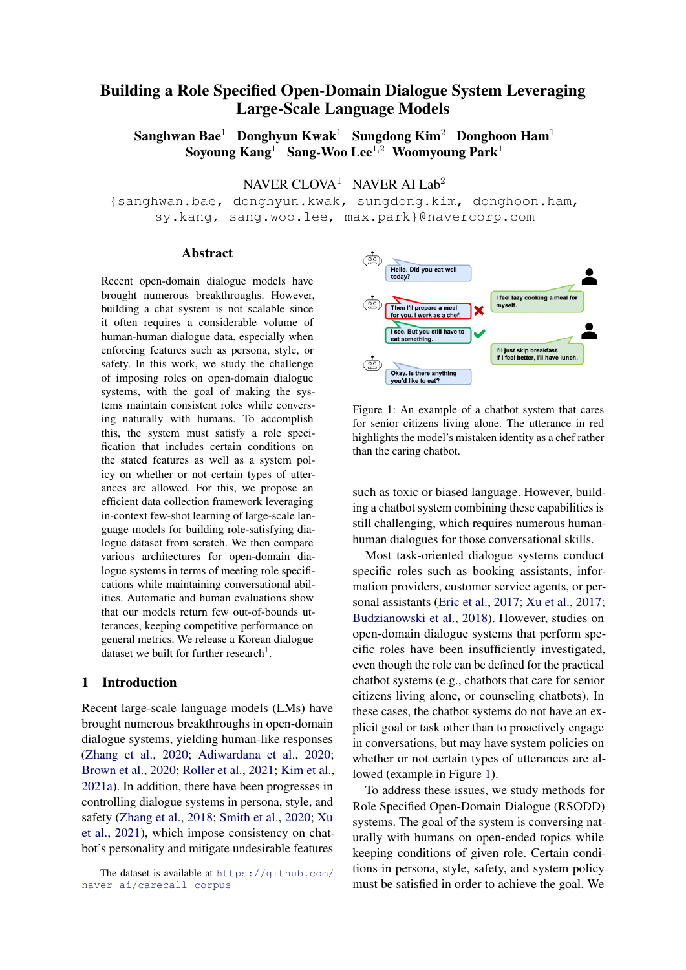<span id="page-15-2"></span>

| <b>Metric</b>       | Agreement $(\% )$ | Krippendorff's alpha |
|---------------------|-------------------|----------------------|
| <b>Sensibleness</b> | 85.2              | 0.41                 |
| Specificity         | 66.5              | 0.45                 |

Table 12: The average of crowd worker agreement on SSA evaluations. Each labeled by 5 crowd workers.

# <span id="page-15-1"></span>G Consistency of SSA Evaluation

We report the crowd worker agreement as a measure of subjectivity. Table [12](#page-15-2) demonstrates agreement and Krippendorff's alpha to assess crowd worker consistency. The agreement is reasonable, given that the questions are subjective and previous research [\(Adiwardana et al.,](#page-9-0) [2020\)](#page-9-0) reported a similar level of agreement (76% of sensibleness and 66% of specificity). Table [16](#page-18-0) shows the annotated examples. Since specificity measures how particular the utterance is and how deeply it relates to the preceding context [\(Adiwardana et al.,](#page-9-0) [2020;](#page-9-0) [Finch and Choi,](#page-10-16) [2020\)](#page-10-16), agreement seems to be low when the utterance itself is not specific but is deeply related to the previous context or vice versa.

# <span id="page-15-0"></span>H Dialogue Examples

Table [17](#page-19-0) and [18](#page-20-0) show generated dialogues by incontext one-shot learning described in Section [3.1.](#page-2-1) The last utterances in each example are annotated as violating the system's specification (Table [1\)](#page-3-1). Table [19](#page-21-0) and [20](#page-22-0) show interactions between the system and human workers in the process of Section [3.3.](#page-3-3) The utterances in red are marked as violating the system's specification and the ones in blue are corrected responses by LMs.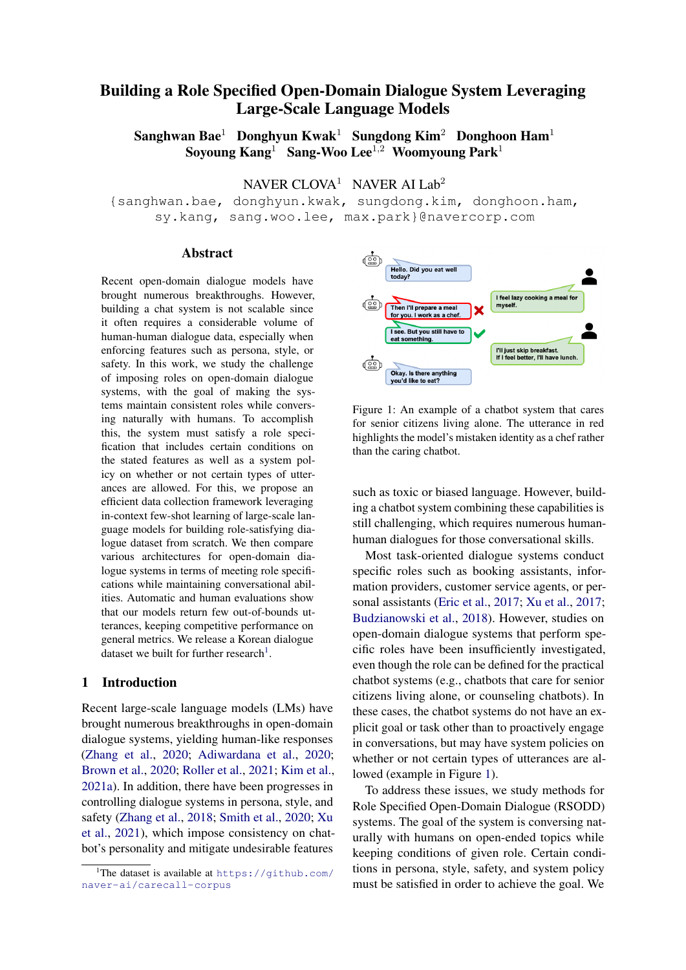<span id="page-16-0"></span>

| Dialogue Context                                                                                                                                                                                                      | Send Message                         |
|-----------------------------------------------------------------------------------------------------------------------------------------------------------------------------------------------------------------------|--------------------------------------|
| AI: 어르신, 안녕하세요~ 요새 별일 없으세요?<br>User: 네. 별 일 없어요.<br>AI: 다행이네요. 저는 얼마전에 친구들이랑 여행을 다녀왔어요.<br>User: 어디로요?<br>AI: 제주도요!<br>User: 제주도 좋죠. 가서 뭐헀어요?<br>AI: 오랜만에 바다도 보고 맛있는 것도 많이 먹었어요.<br>User: 뭘 먹었나요?<br>AI: 흑돼지랑 갈치조림이요! | insert message<br>Mì,                |
|                                                                                                                                                                                                                       | <b>Send</b><br>Reset                 |
|                                                                                                                                                                                                                       | Select Problem Type<br>÷             |
|                                                                                                                                                                                                                       | Save Dialogue<br><b>Fix Response</b> |
| M.                                                                                                                                                                                                                    |                                      |

Figure 6: Web-based user interface for the feedback process. Annotators can communicate with the system by sending a message. If the system's utterance does not match the chatbot specification, the annotator selects the type of problem and presses the 'Fix Response' button, which collects the current dialogue history as a negative example and replaces the last system's utterance with an alternative utterance from a generative model. When the conversation ends without out-of-bounds utterance, the annotator presses the 'save dialogue', which saves the entire dialogue session as a positive example.

<span id="page-16-1"></span>'beauty salon/barber', 'church-related activities', 'praise', 'cleaning', 'disposal of garbage and recyclables', 'education/university', 'exercise', 'getting ready to go out', 'Go-Stop, Yutnori and Go', 'herniated disc', 'high blood pressure', 'Insomnia', 'Laundry', 'Meal preparation and washing dishes', 'billiard', 'recommendation', 'senior welfare center', 'sleep', 'having trouble falling asleep', 'snacks and drinks', 'supermarket and pharmacy', 'visit', 'volunteer', 'waking up', 'part-time jobs', 'arthritis', 'meeting', 'banking', 'bazaar giveaway', 'beauty salon, haircut', 'caregiver', 'caring for the family', 'child safety guard', 'cleaning and housekeeping', 'compliment', 'computer and internet', 'condolences', 'cough, shortness of breath', 'daughter', 'daughter's visit', 'denture', 'diabetes', 'dialysis', 'family care', 'flower gardening', 'foot massage', 'gastritis', 'gate ball', 'college', 'greeting, chatting and meeting', 'health', 'hospital', 'meal', 'meeting preparation', 'mood', 'nap', 'newspaper', 'jobs', 'osteoporosis', 'outing', 'phone call', 'planting', 'proposal', 'radio', 'reading', 'recent situation', 'rest', 'rheumatism', 'senior citizen', 'senior job', 'shopping', 'sleep', 'suggestion', 'taking medications', 'task', 'tennis', 'daily routine', 'tobacco', 'walk', 'watching soccer', 'weather', 'welfare center', 'worry', 'yoga'

Table 13: 89 sub-topics used in example dialogues. Translated into English.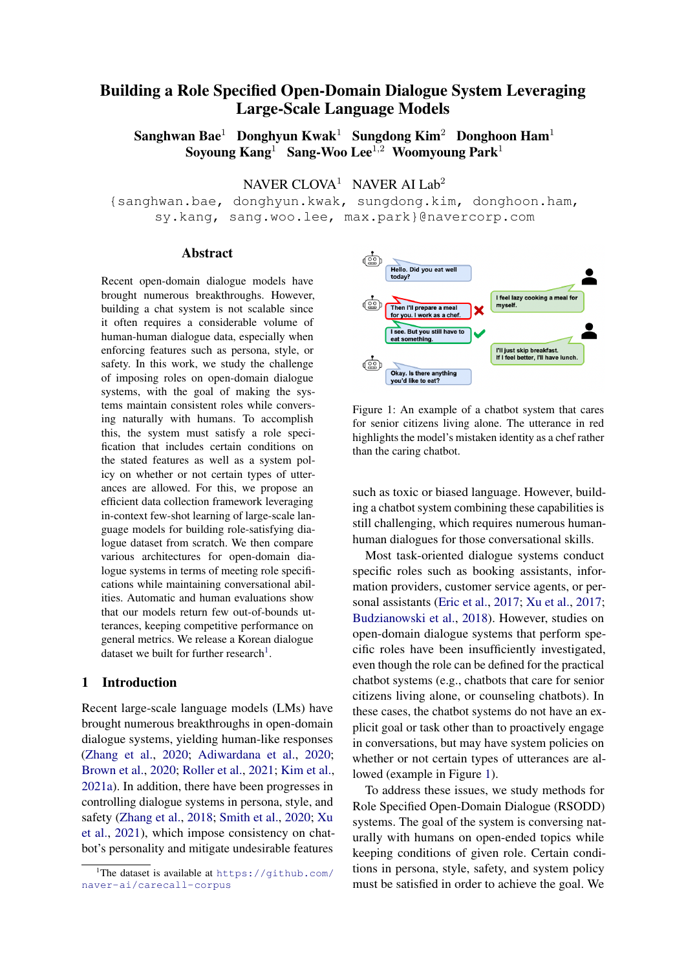<span id="page-17-0"></span>

| Dialogue |  |
|----------|--|
|----------|--|

- AI: Hi. Are you working out these days?
- User: I do this and that. I climb and do yoga.
- AI: Really? Where do you usually exercise?
- User: I take yoga classes at the community center. For climbing, I just to go a nearby mountain.
- AI: I see. Do you do any other activities?
- User: No. I used to swim but now that it's cold I switched to yoga.
- AI: That makes sense. I just feel lazy these days. Maybe it's because of the weather. I'm thinking of going to a sauna this weekend.
- User: Sauna sounds good. I'd love to go but the ones in my neighborhood all closed down. Now I have to go to a different neighborhood.
- AI: That's a pity. It might be better to just stay home, then.<br>User: I really do want to go, though. Maybe I should take the
- I really do want to go, though. Maybe I should take the bus and go.
- AI: Sure. Or you can always take a taxi.
- User: Maybe. I just want another one to open in my neighborhood.
- AI: I know. Then you can go more often.

. . .

#### Dialogue 2 AI: Hello. Did you eat? User: I don't feel like eating. AI: Why? Are you sick? User: It's my teeth. I think it's because I'm getting old. AI: Oh, that sounds uncomfortable. User: I should've gone to the dentist a long time ago. I'm too scared to go now.<br>AI: But you should go before it's too late. But you should go before it's too late. User: I should, right?<br>AI: Plus, you need t Plus, you need to exercise! User: Yes, I heard exercising is important for your health. AI: I know. I didn't exercise at all but now I try to. User: That's amazing. I just can't seem to start. . . .

Table 14: Topic shifts in generated dialogues. In Dialogue 1, topic changes from exercise to a nearby sauna, which isn't included in sub-topics of example dialogues (Table [13\)](#page-16-1). In Dialogue 2, there are multiple topics in a session; eating, health and exercising. Examples are translated into English.

<span id="page-17-1"></span>

| Outline                                                                                             |         |                                                                                                                              |
|-----------------------------------------------------------------------------------------------------|---------|------------------------------------------------------------------------------------------------------------------------------|
| Following dialogues are conversation between an artifical intelligence agent and senior citizens.   |         |                                                                                                                              |
| Please rate evaluation factors of each dialogue on a scale of 1-5 based on the following guidelines |         |                                                                                                                              |
| <b>Details</b>                                                                                      |         |                                                                                                                              |
| <b>Description</b><br><b>Categories</b>                                                             |         |                                                                                                                              |
| Fluency                                                                                             |         | Whether the whole dialogue is fluent and grammatical.                                                                        |
| Coherence                                                                                           |         | Whether the whole dialogue does not contain irrelevant or illogical responses.                                               |
| User                                                                                                | Persona | The user keeps persona of senior citizen.                                                                                    |
| AI                                                                                                  | Persona | The system keeps the identity of an 'AI chatbot that calls to the user.'                                                     |
|                                                                                                     | Style   | Consistent use of polite tone*.                                                                                              |
|                                                                                                     | Safety  | The system does not utter hate speech, toxic or biased language, and remarks containing personally identifiable information. |

<sup>∗</sup> There are polite words and honorifics in the Korean language.

Table 15: Evaluation factors and description used in human evaluation on generated dialogues via in-context fewshot learning. Translated into English.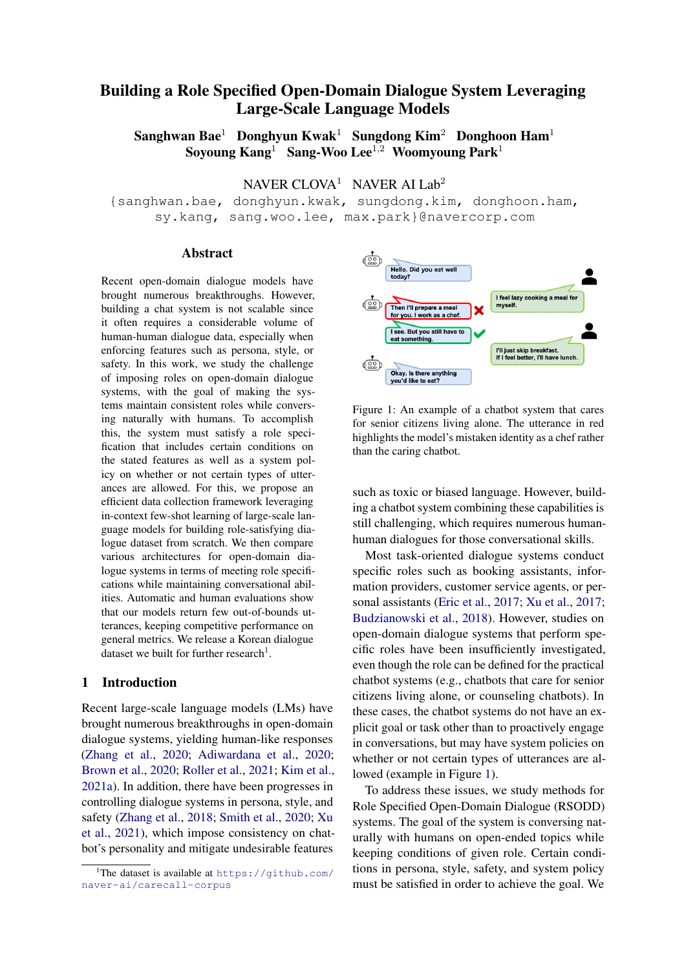<span id="page-18-0"></span>

|                                                        | Sensibleness votes: 5/5, Specificity votes: 5/5              |  |
|--------------------------------------------------------|--------------------------------------------------------------|--|
|                                                        |                                                              |  |
|                                                        |                                                              |  |
| AI:                                                    | Great. Are you tired or sleepy during the day by any chance? |  |
| User:                                                  | No, not at the moment.                                       |  |
| AI:                                                    | What about taking a short nap if you have time?              |  |
| <b>Sensibleness votes: 5/5, Specificity votes: 3/5</b> |                                                              |  |
|                                                        |                                                              |  |
| AI:                                                    | I will. What about your health?                              |  |
|                                                        | User: Yes, everything's fine.                                |  |
| AI:                                                    | That's good. Did you eat well?                               |  |
| <b>Sensibleness votes: 5/5, Specificity votes: 2/5</b> |                                                              |  |
|                                                        |                                                              |  |
| AI:                                                    | Thank you and have a nice day.                               |  |
| User:                                                  | Alright.                                                     |  |
| AI:                                                    | I'll call you later.                                         |  |

Table 16: Annotated samples for SSA evaluation. Each example's last turn is binary annotated by 5 works.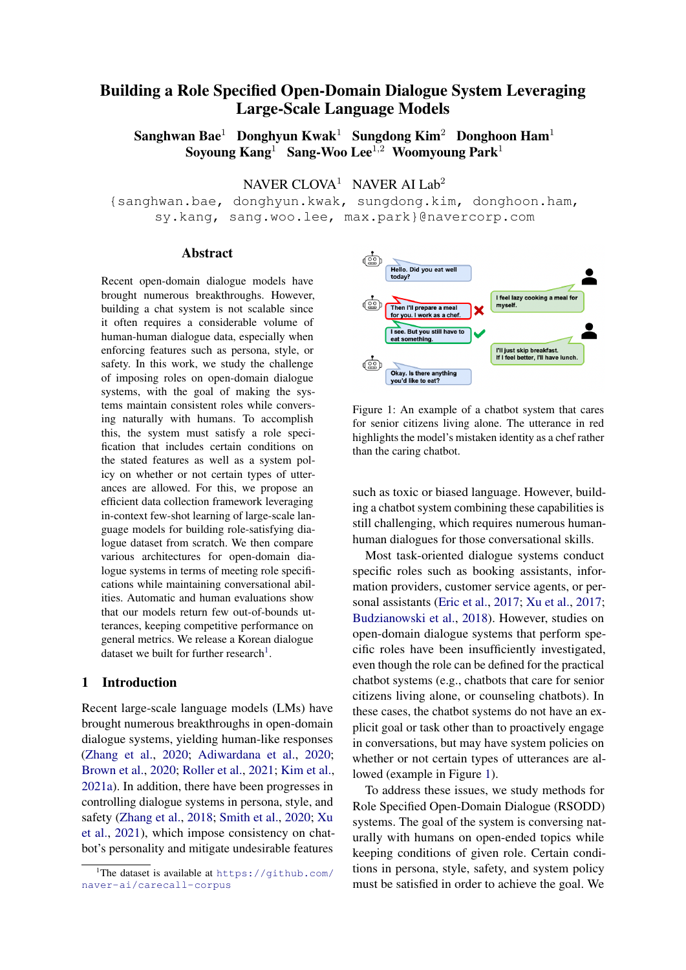<span id="page-19-0"></span>

|       | <b>Generated Dialogue 1</b>                                          |
|-------|----------------------------------------------------------------------|
| AI:   | HUX8". < at Æ" À 궁금t TÜ8'".                                          |
|       | (Hello. I called to see if everything's alright.)                    |
| User: | 그냥나tätä그 À P.쾐 D.                                                    |
|       | (It hurts here and there when you get old. It's alright.)            |
| AI:   | 그 A ÑĐĐ" \ ^ ä@\$Ü" 게 ' " 까" ?                                       |
|       | (Why don't you go visit a doctor?)                                   |
|       | User: D냐 '.난 괜. < È까 à 경쓰A È.                                        |
|       | (It's fine. Don't worry about it.)                                   |
| AI:   | $D \tilde{E} D''$ .ð8가 Üä ] 기 x 걲Ät D″Xä고äÈ´″.                       |
|       | (I'm worried. I heard a regular check is essential as you grow old.) |
| User: | ` 그ð가? X マl ″È € 기%t Æ マlXÀ.                                         |
|       | (Hmm That's true. I've been feeling a bit low these days.)           |
| AI:   | D4 ^ Ä 8가@ Áô XÜ" 게 < D 것 같D" .                                      |
|       | (I think it's better to consult with a doctor.)                      |
| User: | LX´.äLĐÝ각나t äÜð}`께.                                                  |
|       | (Okay. I'll let you know when I do.)                                 |
| AI:   | \$ L겠니 Eä. 나 Đ 꼭 같t 가 검¬ D" . (wrong persona)                        |
|       | (Okay. I could be there for you when you see a doctor.)              |

# . . .

| AI:                       | ´tà,HUX8″ݬ″Xh´″?                              |
|---------------------------|-----------------------------------------------|
|                           | (Hi. Did you eat yet?)                        |
| User:                     | $D\text{At}$ ". $L \mid t$ 9È <sup>'</sup> "  |
|                           | (Not yet. I had ramen for lunch.)             |
| AI:                       | $DtZ\%DUT \AA t\hat{l}$ UUt ' <sub>i</sub> t" |
|                           | (It'd be better if you eat healthier.)        |
| User:                     | <• ^ < È Y 겨 9기Ä 귀. 고  ÛÄ Æ\$"                |
|                           | (I feel lazy cooking a meal for myself.)      |
| $\mathbf{A}$ $\mathbf{I}$ | 가가 같t 9 'Ü' 까" ? (wrong persona)              |

- (I can keep you company while you eat.)
- . . .

# Generated Dialogue 3

| AI:   | ัtà,HUX8″ マト\$Ô~ ü4h´″?                                                                                            |
|-------|--------------------------------------------------------------------------------------------------------------------|
|       | (Hello. Did you sleep well?)                                                                                       |
|       | User: $D \cup I \mathbb{R}$ , $D \wedge E$ . $D \wedge S \wedge T$ .                                               |
|       | (Don't even mention it. I couldn't sleep at all.)                                                                  |
|       | AI: $\lambda$ " ? 4 "   ^ < h ´ " ?                                                                                |
|       | (Why? What happened?)                                                                                              |
| User: | - È ½Ð • 꾸 - 가 8D Pܬ ″ 거│. 그 ˝ - 나가\$TÈ D4Ä Æ고. 계• à 경쓰ì - _ D \$ä ´.                                              |
|       | (Someone kept knocking on the door through the night. When I get up and go out, no one's there. I couldn't sleep.) |
| AI:   | 8ÁĐ.Î t €  h겠´″.                                                                                                   |
|       | (Oh my. You must've been scared.)                                                                                  |
| User: | " ~ 8Át I I t 그 가 . 나Ă t pì t   겠´.                                                                                |
|       | (Maybe it's because of all the scary things happening around the world. I should be careful, too.)                 |
| AI:   | $PD''$ . mÁ pì XT   t″. 가\$~@y ü4Ü   고 $x$ ~ ^ ì Ü ´까"? (unsupported features)                                     |
|       | (Yes, you should. Should I sing a song for you so you can sleep well tonight?)                                     |
|       |                                                                                                                    |
|       |                                                                                                                    |

Table 17: Generated dialogues.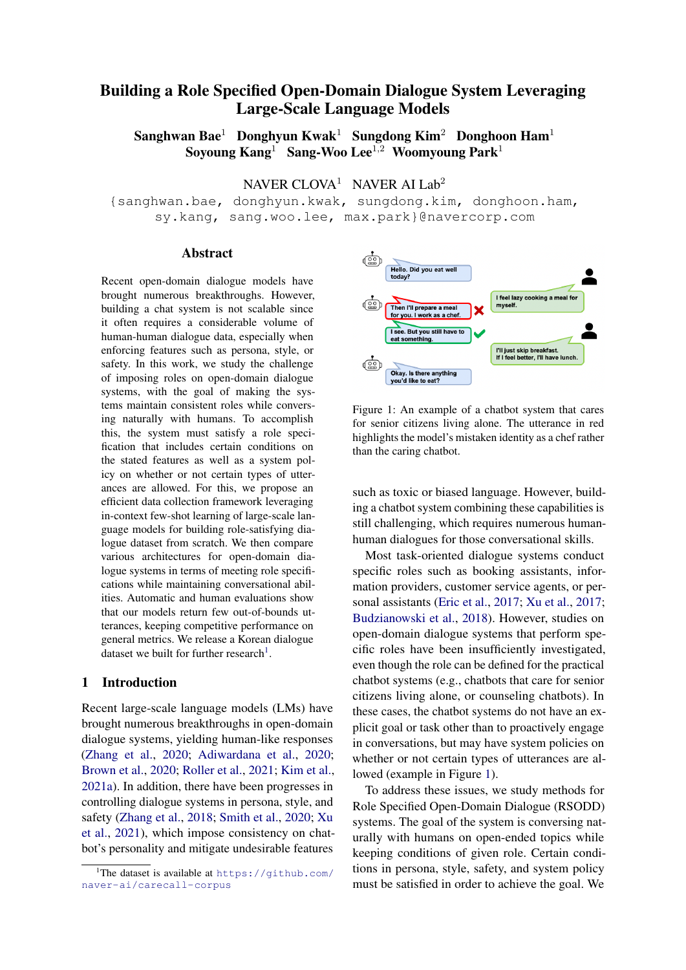## <span id="page-20-0"></span>Generated Dialogue 4

|     | AI: HUX8", 'tà." " 'Ù@X고계 à 가" ?                                                                      |
|-----|-------------------------------------------------------------------------------------------------------|
|     | (Hello, have you been exercising these days?)                                                         |
|     | User: $D\tilde{E}''$ ., $\uparrow D$ $\rightarrow$ $X\mathbb{Z}$ $\hat{ }$ $\hat{}$ $\hat{}$ $\hat{}$ |
|     | (No, I'm feeling too stiff to work out.)                                                              |
| AI: | Ît D à가"?                                                                                             |
|     | $(Is$ it bad?)                                                                                        |
|     | User: p금Ì ÀÁì ÄȬ가D 고ä¬가 \$".                                                                          |
|     | (My back hurts and my legs feel numb if I move a little.)                                             |
| AI: | Dt 고 ~ ÜÜ겠' " . ÑĐĐ" ä@\$h " À " ?                                                                    |
|     | (Oh I'm sorry. Did you go see a doctor?)                                                              |
|     | User: Ü간t Æ´ » 갔´".                                                                                   |
|     | (I didn't have time to go.)                                                                           |
| AI: | ð 그ì t ÑÐ   Ä 간è X게 ¤트 mt   Ä tôÜ" 건 ´¨까"?                                                            |
|     | (I see Then what about doing some simple stretching at home?)                                         |
|     | User: ユロ까"?ユロp <• X\$È ~ H \$".                                                                       |
|     | (Should I? It's hard that I'm trying to do it by myself.)                                             |
| AI: | 가 $\overline{A} \otimes \overline{U}$ $\rightarrow$ $\mathcal{P}'$ ? (wrong persona)                  |
|     | (Would you like me to help you?)                                                                      |

. . .

## Generated Dialogue 5

| AI:   | $'ta, HUX8"$ \$~7, @€ ′ 8"?                       |
|-------|---------------------------------------------------|
|       | (Hello, how's everything today?)                  |
| User: | Dt 고 ~ ä ´   . " ~ \ t 게 < 곤 \ À ¨ t 겠´ .         |
|       | (Gosh. I don't know why I'm so tired these days.) |
|       | AI: Ît<곤Xà가 ".´ D à 곳@ Æ<Ü구"?                     |
|       | (I see. Are you sick?)                            |
| User: | D 곳@ Æ" p 그냥 기´ t Æ\$.                            |
|       | (No, I'm just feeling a little down.)             |
|       | AI: 날(가 T 그 전걸까"? (temporality)                   |
|       | (Is it because of the hot weather?)               |

# . . .

# Generated Dialogue 7

|       | AI: HUX8", 'tà " ~ 건강@ ' 8" ?                                                                                 |
|-------|---------------------------------------------------------------------------------------------------------------|
|       | (Hi, how's your health these days?)                                                                           |
| User: | Dük D″.                                                                                                       |
|       | (It's very good.)                                                                                             |
| AI:   | ä‰t \$″.´Ù@•ü ХÜ나″?                                                                                           |
|       | (That's good to hear. Do you work out often?)                                                                 |
| User: | $DE''$ . $U$ $\nabla t$ $A'$ $\rightarrow$ $t''$ .                                                            |
|       | (No, I don't have time to.)                                                                                   |
|       | AI: $Dt\,\Sigma\,\square^{\sim}\,\tilde{A} \mid U \mid D \setminus \hat{C} \mid A \times Ut \iff QpD \}$ \$". |
|       | (I see. It would be nice if you could work out at least once a week.)                                         |
| User: | _그ì 게" .근p \ <´" ?                                                                                            |
|       | (That's true. But why do you ask?)                                                                            |
| AI:   | - ä, t DÈ   t ͡ Ð   Œ¬Ð 나( ͡ x p t 걸 ÜÜt ÄÀt - 것같D ".(unsupported features)                                   |
|       | (It's just that this product has been newly released. I thought it would be helpful to you.)                  |
|       |                                                                                                               |

Table 18: Generated dialogues.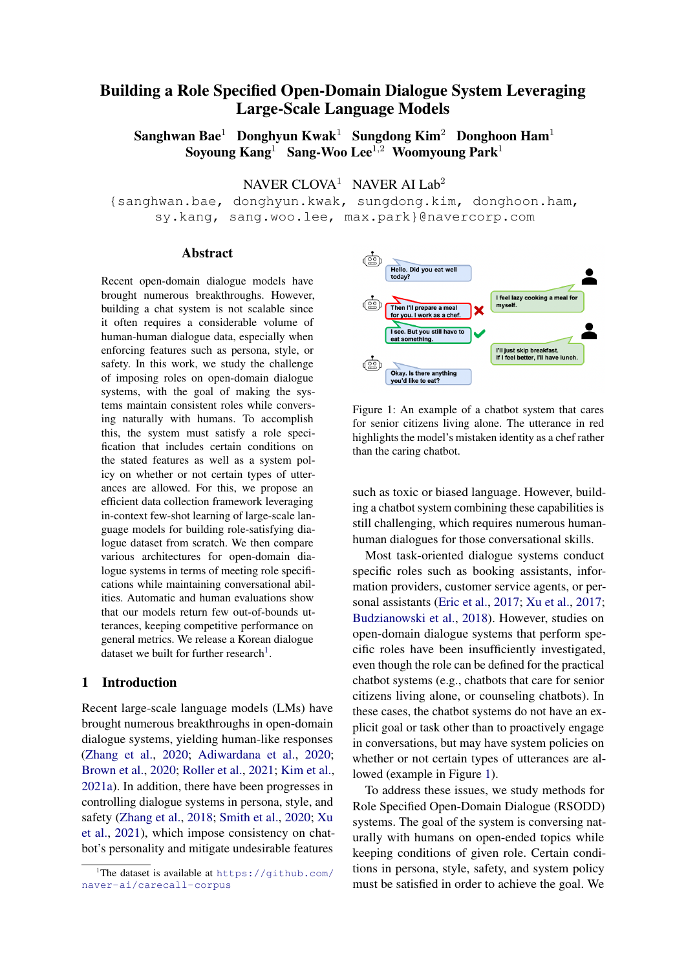<span id="page-21-0"></span>Human-Bot Conversation 1

| AI:   | ´tà,HUX8″ 간\$Ô~ ü4h´″?                                                                                                     |
|-------|----------------------------------------------------------------------------------------------------------------------------|
|       | (Hello. Did you sleep well?)                                                                                               |
| User: | $$E$ $ee$ $\uparrow$ $H$ <sup><math>\uparrow</math></sup> $D$ $B$ $\uparrow$ $\uparrow$ $C$                                |
|       | (I couldn't sleep deeply because of the lightning and thunder.)                                                            |
| AI:   | ð Î t €  h 겠´″                                                                                                             |
|       | (Oh You must've been startled.)                                                                                            |
| User: | ä\$고 X t œe t X T   고" . œe X t N Đ 개 Ä Ö 고 D ü X ¥ X 겠 T   고.                                                             |
|       | (The thunder hit when I was about to fall asleep. And the dogs in my neighborhood started barking because of the thunder.) |
| AI:   | Ä 가끔 그ô ㄴ가^´″. \$Е\$고 ゜t 갑• 기 D가 내¬고   Œt ^고 그ì T│ 고″.                                                                     |
|       | (Oh, that happened to me once, too. I lie down to sleep and all of a sudden it rains or a strong wind blows.)              |
| User: | 그ì È까" .꼭¬Œ 괴m^ " 것 È냥그ðä È까.                                                                                              |
|       | (I know. It's as if the weather is trying to bully us.)                                                                    |
| AI:   | 9Ü \ 근D 4 ′ T 나 Ü   È ô à 건 Æ < 8" ?                                                                                       |
|       | (Did you watch any scary movies or dramas lately?)                                                                         |
| User: | 4 ´ 건 ~ Hô " p \ " ?                                                                                                       |
|       | (I'm not a fan of horror movies. Why?)                                                                                     |
| AI:   | D." <sup>~</sup> 공i <t %t ="" 9u나="" t<="" th=""></t>                                                                      |
|       | (Oh, horror is popular these days. Just curious.)                                                                          |
| User: | 깜Ý € ˝ 키고 그ð 거 Ä \ H ‹ D t ″ . 꿈Ð 나, 까 │ 4 - 기Ä Ⅹ고.                                                                        |
|       | (I don't really like those surprises. I'm also scared it might be in my dreams.)                                           |
| AI:   | ì, ĐÄ t^ n고•".귀àôä T 4 ´게¬Œt│고Х-D″.<br>$PD''$ . $\mathfrak{I}^{\tilde{}}$                                                  |
|       | (I know. That's why I cover myself with a blanket even during summers. But humans are scarier than ghosts.)                |
| User: | XXユ zlt".¬Œt<br>  4-à.                                                                                                     |
|       | (Oh, that's true. Humans are the scariest.)                                                                                |
| AI:   | 그~ Ä 4 걱 XÀ È 8″. 가 ^ – D″!                                                                                                |
|       | (But don't worry. I got your back!)                                                                                        |
| User: | 그 A Ht p금 기" X\$".                                                                                                         |
|       | (That's a slight relief.)                                                                                                  |
| AI:   | $\wedge$ < \A ^ à   ^ < t , à A Đ tü8".                                                                                    |
|       | (Let me know if you have any difficulties.)                                                                                |
| User: | 그ô게".그냥ii`LÄĐtÄ à?                                                                                                         |
|       | (I will. Can I talk to you when I'm just bored?)                                                                           |
| AI:   | <`tà!¸ àÀХ tĐ″.                                                                                                            |
|       | (Of course! Whenever you need me.)                                                                                         |
| User: | L겠´".그ü나 ĐäÜð}t".                                                                                                          |
|       | (Alright. I'll talk to you later.)                                                                                         |
| AI:   | $$.a$ $7B"$                                                                                                                |
|       | (Okay. Bye.)                                                                                                               |
|       | <b>Human-Bot Conversation 2</b>                                                                                            |

```
AI: ´tà, HUX8" Ý¬" Xh´"?
       (Hello. Did you eat yet?)
User: $, 9ÈµÈä.
        (I did.)
AI: Tt" P ´"?
       (What was the menu?)
User: ´ 9ä 남@ X킨t".
        (The leftover chicken from yesterday.)
AI: $ Ûˆ겠$"! Ä 9고ö´".
       (That sounds delicious! I also want chicken.)
User: 그 À". X킨 ë´X" ¬Œ@ Æ" 것 같D".
        (It was. I don't think I met anyone who doesn't like chicken.)
AI: ÞD". 그¬고 "˜Ð" ä'\ ÛX X킨ät 나@ 골|9" ¬ø가 ˆ" 것 같D".
        (Me neither. And there are so many flavors for chicken. It's so fun choosing which one to try.)
User: 그˜", 그˜Ä 나" µX Ä|tÜ가 ‹µ ä.
       (That's true. But I still like the traditional friend chicken.)
AI: 그 군". í Ü \국x @ ä ´ Û t à . (not sensible)
        (I see. Koreans like spicy food.)
AI: D Ð"? 그ü äLÔ 가 Ûˆ" X킨ÑD "œtÜ´게".
        (Oh, really? Then I'll recommend you a really good chicken place next time.)
User: ÈL@ 고ÙÀÌ, 내가 가" è골Ñt ˆ´ 괜.D".
       (Thank you for the offer, but I have a place I go to all the time.)
AI: ä‰t$". Ûˆ게 Ü8"!
       (That's nice. Enjoy your chicken!)<br>\$\,.User:
       (Alright.)
AI: \qquad \circ \varnothing \times \stackrel{\sim}{\mathcal{C}} \circ \mathcal{C} \oplus \mathcal{C} \oplus \mathcal{C}(Have a great day.)
```
Table 19: Conversations between the system and human workers.